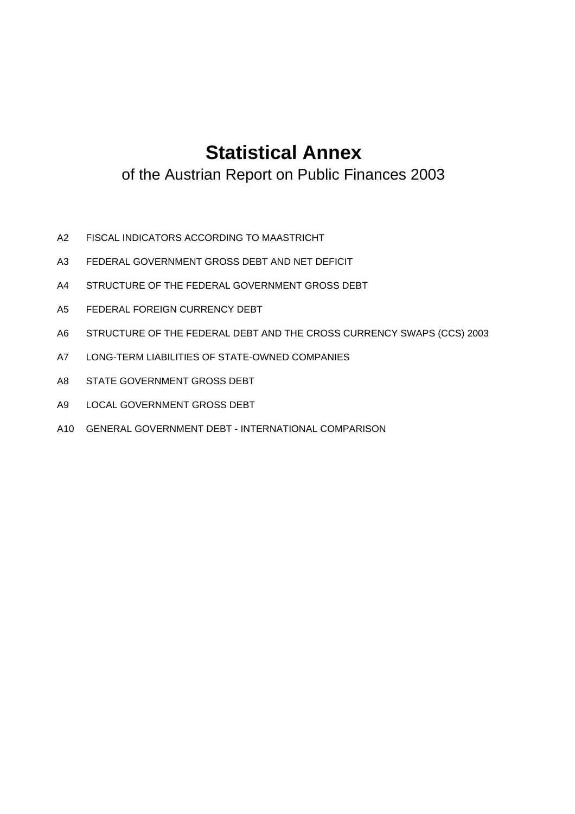# **Statistical Annex**

of the Austrian Report on Public Finances 2003

- A2 FISCAL INDICATORS ACCORDING TO MAASTRICHT
- A3 FEDERAL GOVERNMENT GROSS DEBT AND NET DEFICIT
- A4 STRUCTURE OF THE FEDERAL GOVERNMENT GROSS DEBT
- A5 FEDERAL FOREIGN CURRENCY DEBT
- A6 STRUCTURE OF THE FEDERAL DEBT AND THE CROSS CURRENCY SWAPS (CCS) 2003
- A7 LONG-TERM LIABILITIES OF STATE-OWNED COMPANIES
- A8 STATE GOVERNMENT GROSS DEBT
- A9 LOCAL GOVERNMENT GROSS DEBT
- A10 GENERAL GOVERNMENT DEBT INTERNATIONAL COMPARISON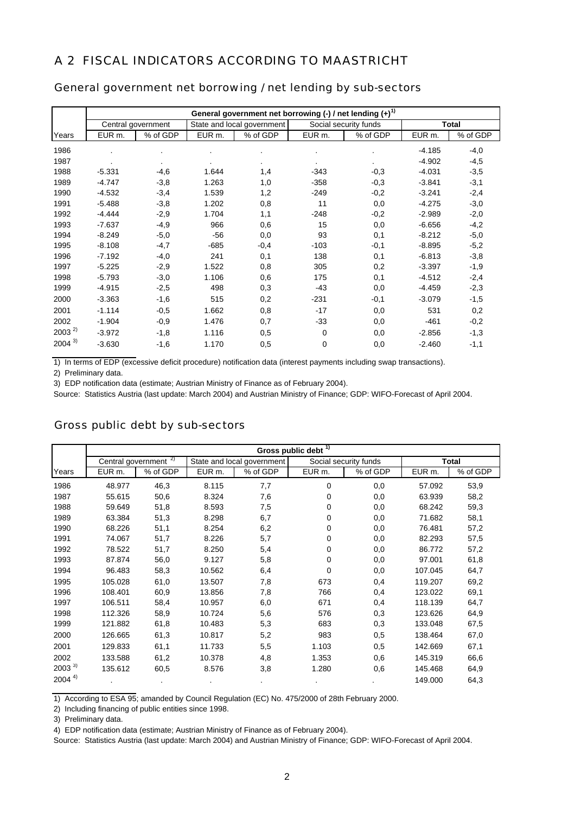### A 2 FISCAL INDICATORS ACCORDING TO MAASTRICHT

|            |          |                    |        | General government net borrowing $(-)$ / net lending $(+)^{1}$ |        |                       |          |              |
|------------|----------|--------------------|--------|----------------------------------------------------------------|--------|-----------------------|----------|--------------|
|            |          | Central government |        | State and local government                                     |        | Social security funds |          | <b>Total</b> |
| Years      | EUR m.   | % of GDP           | EUR m. | % of GDP                                                       | EUR m. | % of GDP              | EUR m.   | % of GDP     |
| 1986       |          |                    |        |                                                                |        |                       | $-4.185$ | $-4,0$       |
| 1987       |          |                    |        |                                                                |        |                       | $-4.902$ | $-4,5$       |
| 1988       | $-5.331$ | $-4,6$             | 1.644  | 1,4                                                            | $-343$ | $-0,3$                | $-4.031$ | $-3,5$       |
| 1989       | $-4.747$ | $-3,8$             | 1.263  | 1,0                                                            | $-358$ | $-0,3$                | $-3.841$ | $-3,1$       |
| 1990       | $-4.532$ | $-3,4$             | 1.539  | 1,2                                                            | $-249$ | $-0,2$                | $-3.241$ | $-2,4$       |
| 1991       | $-5.488$ | $-3,8$             | 1.202  | 0,8                                                            | 11     | 0,0                   | $-4.275$ | $-3,0$       |
| 1992       | $-4.444$ | $-2,9$             | 1.704  | 1,1                                                            | $-248$ | $-0,2$                | $-2.989$ | $-2,0$       |
| 1993       | $-7.637$ | $-4,9$             | 966    | 0,6                                                            | 15     | 0,0                   | $-6.656$ | $-4,2$       |
| 1994       | $-8.249$ | $-5,0$             | $-56$  | 0,0                                                            | 93     | 0,1                   | $-8.212$ | $-5,0$       |
| 1995       | $-8.108$ | $-4,7$             | $-685$ | $-0,4$                                                         | $-103$ | $-0,1$                | $-8.895$ | $-5,2$       |
| 1996       | $-7.192$ | $-4,0$             | 241    | 0,1                                                            | 138    | 0,1                   | $-6.813$ | $-3,8$       |
| 1997       | $-5.225$ | $-2,9$             | 1.522  | 0,8                                                            | 305    | 0,2                   | $-3.397$ | $-1,9$       |
| 1998       | $-5.793$ | $-3,0$             | 1.106  | 0,6                                                            | 175    | 0,1                   | $-4.512$ | $-2,4$       |
| 1999       | $-4.915$ | $-2,5$             | 498    | 0,3                                                            | -43    | 0,0                   | $-4.459$ | $-2,3$       |
| 2000       | $-3.363$ | $-1,6$             | 515    | 0,2                                                            | $-231$ | $-0,1$                | $-3.079$ | $-1,5$       |
| 2001       | $-1.114$ | $-0,5$             | 1.662  | 0,8                                                            | $-17$  | 0,0                   | 531      | 0,2          |
| 2002       | $-1.904$ | $-0,9$             | 1.476  | 0,7                                                            | $-33$  | 0,0                   | $-461$   | $-0,2$       |
| $2003^{2}$ | $-3.972$ | $-1,8$             | 1.116  | 0,5                                                            | 0      | 0,0                   | $-2.856$ | $-1,3$       |
| $2004^{3}$ | $-3.630$ | $-1,6$             | 1.170  | 0,5                                                            | 0      | 0,0                   | $-2.460$ | $-1,1$       |

#### General government net borrowing / net lending by sub-sectors

1) In terms of EDP (excessive deficit procedure) notification data (interest payments including swap transactions).

2) Preliminary data.

3) EDP notification data (estimate; Austrian Ministry of Finance as of February 2004).

Source: Statistics Austria (last update: March 2004) and Austrian Ministry of Finance; GDP: WIFO-Forecast of April 2004.

#### Gross public debt by sub-sectors

|            | Gross public debt <sup>1)</sup> |                                  |        |                            |        |                       |         |              |  |  |
|------------|---------------------------------|----------------------------------|--------|----------------------------|--------|-----------------------|---------|--------------|--|--|
|            |                                 | Central government <sup>2)</sup> |        | State and local government |        | Social security funds |         | <b>Total</b> |  |  |
| Years      | EUR m.                          | % of GDP                         | EUR m. | % of GDP                   | EUR m. | % of GDP              | EUR m.  | % of GDP     |  |  |
| 1986       | 48.977                          | 46,3                             | 8.115  | 7,7                        | 0      | 0,0                   | 57.092  | 53,9         |  |  |
| 1987       | 55.615                          | 50,6                             | 8.324  | 7,6                        | 0      | 0,0                   | 63.939  | 58,2         |  |  |
| 1988       | 59.649                          | 51,8                             | 8.593  | 7,5                        | 0      | 0,0                   | 68.242  | 59,3         |  |  |
| 1989       | 63.384                          | 51,3                             | 8.298  | 6,7                        | 0      | 0,0                   | 71.682  | 58,1         |  |  |
| 1990       | 68.226                          | 51,1                             | 8.254  | 6,2                        | 0      | 0,0                   | 76.481  | 57,2         |  |  |
| 1991       | 74.067                          | 51,7                             | 8.226  | 5,7                        | 0      | 0,0                   | 82.293  | 57,5         |  |  |
| 1992       | 78.522                          | 51,7                             | 8.250  | 5,4                        | 0      | 0,0                   | 86.772  | 57,2         |  |  |
| 1993       | 87.874                          | 56,0                             | 9.127  | 5,8                        | 0      | 0,0                   | 97.001  | 61,8         |  |  |
| 1994       | 96.483                          | 58,3                             | 10.562 | 6,4                        | 0      | 0,0                   | 107.045 | 64,7         |  |  |
| 1995       | 105.028                         | 61,0                             | 13.507 | 7,8                        | 673    | 0,4                   | 119.207 | 69,2         |  |  |
| 1996       | 108.401                         | 60,9                             | 13.856 | 7,8                        | 766    | 0,4                   | 123.022 | 69,1         |  |  |
| 1997       | 106.511                         | 58,4                             | 10.957 | 6,0                        | 671    | 0,4                   | 118.139 | 64,7         |  |  |
| 1998       | 112.326                         | 58,9                             | 10.724 | 5,6                        | 576    | 0,3                   | 123.626 | 64,9         |  |  |
| 1999       | 121.882                         | 61,8                             | 10.483 | 5,3                        | 683    | 0,3                   | 133.048 | 67,5         |  |  |
| 2000       | 126.665                         | 61,3                             | 10.817 | 5,2                        | 983    | 0,5                   | 138.464 | 67,0         |  |  |
| 2001       | 129.833                         | 61,1                             | 11.733 | 5,5                        | 1.103  | 0,5                   | 142.669 | 67,1         |  |  |
| 2002       | 133.588                         | 61,2                             | 10.378 | 4,8                        | 1.353  | 0,6                   | 145.319 | 66,6         |  |  |
| $2003^{3}$ | 135.612                         | 60,5                             | 8.576  | 3,8                        | 1.280  | 0,6                   | 145.468 | 64,9         |  |  |
| $2004^{4}$ |                                 |                                  |        |                            |        |                       | 149.000 | 64,3         |  |  |

1) According to ESA 95; amanded by Council Regulation (EC) No. 475/2000 of 28th February 2000.

2) Including financing of public entities since 1998.

3) Preliminary data.

4) EDP notification data (estimate; Austrian Ministry of Finance as of February 2004).

Source: Statistics Austria (last update: March 2004) and Austrian Ministry of Finance; GDP: WIFO-Forecast of April 2004.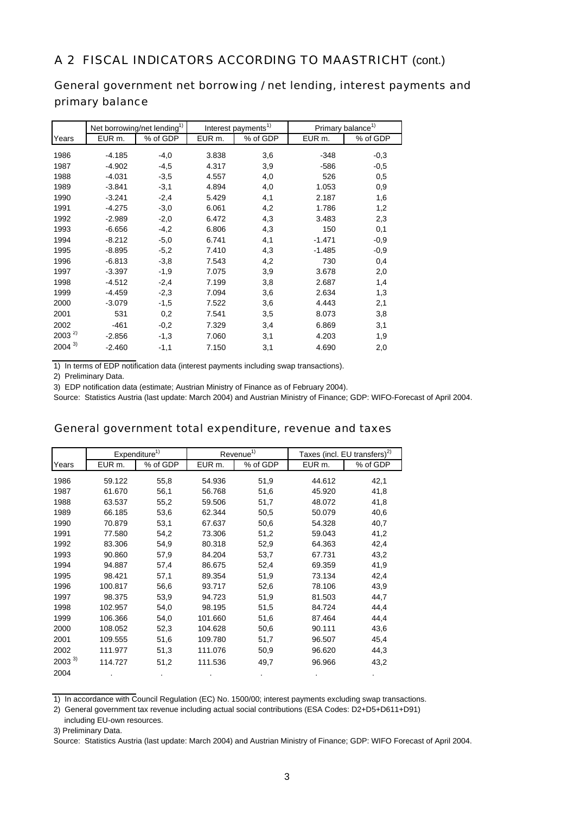### A 2 FISCAL INDICATORS ACCORDING TO MAASTRICHT (cont.)

## General government net borrowing / net lending, interest payments and primary balance

|            |          | Net borrowing/net lending <sup>1)</sup> |        | Interest payments <sup>1)</sup> |          | Primary balance <sup>1)</sup> |
|------------|----------|-----------------------------------------|--------|---------------------------------|----------|-------------------------------|
| Years      | EUR m.   | % of GDP                                | EUR m. | % of GDP                        | EUR m.   | % of GDP                      |
| 1986       | $-4.185$ | $-4,0$                                  | 3.838  | 3,6                             | $-348$   | $-0,3$                        |
|            |          |                                         |        |                                 |          |                               |
| 1987       | $-4.902$ | $-4,5$                                  | 4.317  | 3,9                             | $-586$   | $-0,5$                        |
| 1988       | $-4.031$ | $-3,5$                                  | 4.557  | 4,0                             | 526      | 0,5                           |
| 1989       | $-3.841$ | $-3,1$                                  | 4.894  | 4,0                             | 1.053    | 0,9                           |
| 1990       | $-3.241$ | $-2,4$                                  | 5.429  | 4,1                             | 2.187    | 1,6                           |
| 1991       | $-4.275$ | $-3,0$                                  | 6.061  | 4,2                             | 1.786    | 1,2                           |
| 1992       | $-2.989$ | $-2,0$                                  | 6.472  | 4,3                             | 3.483    | 2,3                           |
| 1993       | $-6.656$ | $-4,2$                                  | 6.806  | 4,3                             | 150      | 0,1                           |
| 1994       | $-8.212$ | $-5,0$                                  | 6.741  | 4,1                             | $-1.471$ | $-0,9$                        |
| 1995       | $-8.895$ | $-5,2$                                  | 7.410  | 4,3                             | $-1.485$ | $-0,9$                        |
| 1996       | $-6.813$ | $-3,8$                                  | 7.543  | 4,2                             | 730      | 0,4                           |
| 1997       | $-3.397$ | $-1,9$                                  | 7.075  | 3,9                             | 3.678    | 2,0                           |
| 1998       | $-4.512$ | $-2,4$                                  | 7.199  | 3,8                             | 2.687    | 1,4                           |
| 1999       | $-4.459$ | $-2,3$                                  | 7.094  | 3,6                             | 2.634    | 1,3                           |
| 2000       | $-3.079$ | $-1,5$                                  | 7.522  | 3,6                             | 4.443    | 2,1                           |
| 2001       | 531      | 0,2                                     | 7.541  | 3,5                             | 8.073    | 3,8                           |
| 2002       | $-461$   | $-0,2$                                  | 7.329  | 3,4                             | 6.869    | 3,1                           |
| $2003^{2}$ | $-2.856$ | $-1,3$                                  | 7.060  | 3,1                             | 4.203    | 1,9                           |
| $2004^{3}$ | $-2.460$ | $-1,1$                                  | 7.150  | 3,1                             | 4.690    | 2,0                           |

1) In terms of EDP notification data (interest payments including swap transactions).

2) Preliminary Data.

3) EDP notification data (estimate; Austrian Ministry of Finance as of February 2004).

Source: Statistics Austria (last update: March 2004) and Austrian Ministry of Finance; GDP: WIFO-Forecast of April 2004.

#### General government total expenditure, revenue and taxes

|            |         | Expenditure <sup>1)</sup> |         | Revenue <sup>1)</sup> |        | Taxes (incl. EU transfers) <sup>2)</sup> |
|------------|---------|---------------------------|---------|-----------------------|--------|------------------------------------------|
| Years      | EUR m.  | % of GDP                  | EUR m.  | % of GDP              | EUR m. | % of GDP                                 |
| 1986       | 59.122  | 55,8                      | 54.936  | 51,9                  | 44.612 | 42,1                                     |
| 1987       | 61.670  | 56,1                      | 56.768  | 51,6                  | 45.920 | 41,8                                     |
| 1988       | 63.537  | 55,2                      | 59.506  | 51,7                  | 48.072 | 41,8                                     |
| 1989       | 66.185  | 53,6                      | 62.344  | 50,5                  | 50.079 | 40,6                                     |
| 1990       | 70.879  | 53,1                      | 67.637  | 50,6                  | 54.328 | 40,7                                     |
| 1991       | 77.580  | 54,2                      | 73.306  | 51,2                  | 59.043 | 41,2                                     |
| 1992       | 83.306  | 54,9                      | 80.318  | 52,9                  | 64.363 | 42,4                                     |
| 1993       | 90.860  | 57,9                      | 84.204  | 53,7                  | 67.731 | 43,2                                     |
| 1994       | 94.887  | 57,4                      | 86.675  | 52,4                  | 69.359 | 41,9                                     |
| 1995       | 98.421  | 57,1                      | 89.354  | 51,9                  | 73.134 | 42,4                                     |
| 1996       | 100.817 | 56,6                      | 93.717  | 52,6                  | 78.106 | 43,9                                     |
| 1997       | 98.375  | 53,9                      | 94.723  | 51,9                  | 81.503 | 44,7                                     |
| 1998       | 102.957 | 54,0                      | 98.195  | 51,5                  | 84.724 | 44,4                                     |
| 1999       | 106.366 | 54,0                      | 101.660 | 51,6                  | 87.464 | 44,4                                     |
| 2000       | 108.052 | 52,3                      | 104.628 | 50,6                  | 90.111 | 43,6                                     |
| 2001       | 109.555 | 51,6                      | 109.780 | 51,7                  | 96.507 | 45,4                                     |
| 2002       | 111.977 | 51,3                      | 111.076 | 50,9                  | 96.620 | 44,3                                     |
| $2003^{3}$ | 114.727 | 51,2                      | 111.536 | 49,7                  | 96.966 | 43,2                                     |
| 2004       |         | $\bullet$                 |         |                       |        |                                          |

1) In accordance with Council Regulation (EC) No. 1500/00; interest payments excluding swap transactions.

2) General government tax revenue including actual social contributions (ESA Codes: D2+D5+D611+D91) including EU-own resources.

3) Preliminary Data.

Source: Statistics Austria (last update: March 2004) and Austrian Ministry of Finance; GDP: WIFO Forecast of April 2004.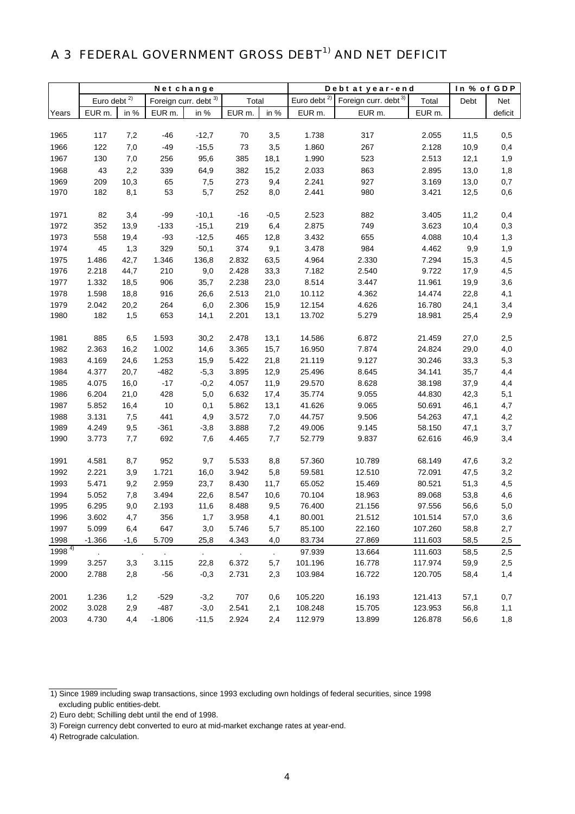# A 3 FEDERAL GOVERNMENT GROSS DEBT<sup>1)</sup> AND NET DEFICIT

|            |                |                | Netchange             |         |        |               | Debt at year-end        | In % of GDP                      |         |      |         |
|------------|----------------|----------------|-----------------------|---------|--------|---------------|-------------------------|----------------------------------|---------|------|---------|
|            | Euro debt $2)$ |                | Foreign curr. debt 3) |         | Total  |               | Euro debt <sup>2)</sup> | Foreign curr. debt <sup>3)</sup> | Total   | Debt | Net     |
| Years      | EUR m.         | in %           | EUR m.                | in %    | EUR m. | in %          | EUR m.                  | EUR m.                           | EUR m.  |      | deficit |
|            |                |                |                       |         |        |               |                         |                                  |         |      |         |
| 1965       | 117            | 7,2            | -46                   | $-12,7$ | 70     | 3,5           | 1.738                   | 317                              | 2.055   | 11,5 | 0,5     |
| 1966       | 122            | 7,0            | $-49$                 | $-15,5$ | 73     | 3,5           | 1.860                   | 267                              | 2.128   | 10,9 | 0,4     |
| 1967       | 130            | 7,0            | 256                   | 95,6    | 385    | 18,1          | 1.990                   | 523                              | 2.513   | 12,1 | 1,9     |
| 1968       | 43             | 2,2            | 339                   | 64,9    | 382    | 15,2          | 2.033                   | 863                              | 2.895   | 13,0 | 1,8     |
| 1969       | 209            | 10,3           | 65                    | 7,5     | 273    | 9,4           | 2.241                   | 927                              | 3.169   | 13,0 | 0,7     |
| 1970       | 182            | 8,1            | 53                    | 5,7     | 252    | 8,0           | 2.441                   | 980                              | 3.421   | 12,5 | 0,6     |
|            |                |                |                       |         |        |               |                         |                                  |         |      |         |
| 1971       | 82             | 3,4            | $-99$                 | $-10,1$ | $-16$  | $-0,5$        | 2.523                   | 882                              | 3.405   | 11,2 | 0,4     |
| 1972       | 352            | 13,9           | $-133$                | $-15,1$ | 219    | 6,4           | 2.875                   | 749                              | 3.623   | 10,4 | 0,3     |
| 1973       | 558            | 19,4           | $-93$                 | $-12,5$ | 465    | 12,8          | 3.432                   | 655                              | 4.088   | 10,4 | 1,3     |
| 1974       | 45             | 1,3            | 329                   | 50,1    | 374    | 9,1           | 3.478                   | 984                              | 4.462   | 9,9  | 1,9     |
| 1975       | 1.486          | 42,7           | 1.346                 | 136,8   | 2.832  | 63,5          | 4.964                   | 2.330                            | 7.294   | 15,3 | 4,5     |
| 1976       | 2.218          | 44,7           | 210                   | 9,0     | 2.428  | 33,3          | 7.182                   | 2.540                            | 9.722   | 17,9 | 4,5     |
| 1977       | 1.332          | 18,5           | 906                   | 35,7    | 2.238  | 23,0          | 8.514                   | 3.447                            | 11.961  | 19,9 | 3,6     |
| 1978       | 1.598          | 18,8           | 916                   | 26,6    | 2.513  | 21,0          | 10.112                  | 4.362                            | 14.474  | 22,8 | 4,1     |
| 1979       | 2.042          | 20,2           | 264                   | 6,0     | 2.306  | 15,9          | 12.154                  | 4.626                            | 16.780  | 24,1 | 3,4     |
| 1980       | 182            | 1,5            | 653                   | 14,1    | 2.201  | 13,1          | 13.702                  | 5.279                            | 18.981  | 25,4 | 2,9     |
|            |                |                |                       |         |        |               |                         |                                  |         |      |         |
| 1981       | 885            | 6,5            | 1.593                 | 30,2    | 2.478  | 13,1          | 14.586                  | 6.872                            | 21.459  | 27,0 | 2,5     |
| 1982       | 2.363          | 16,2           | 1.002                 | 14,6    | 3.365  | 15,7          | 16.950                  | 7.874                            | 24.824  | 29,0 | 4,0     |
| 1983       | 4.169          | 24,6           | 1.253                 | 15,9    | 5.422  | 21,8          | 21.119                  | 9.127                            | 30.246  | 33,3 | 5,3     |
| 1984       | 4.377          | 20,7           | $-482$                | $-5,3$  | 3.895  | 12,9          | 25.496                  | 8.645                            | 34.141  | 35,7 | 4,4     |
| 1985       | 4.075          | 16,0           | $-17$                 | $-0,2$  | 4.057  | 11,9          | 29.570                  | 8.628                            | 38.198  | 37,9 | 4,4     |
| 1986       | 6.204          | 21,0           | 428                   | 5,0     | 6.632  | 17,4          | 35.774                  | 9.055                            | 44.830  | 42,3 | 5,1     |
| 1987       | 5.852          | 16,4           | 10                    | 0,1     | 5.862  | 13,1          | 41.626                  | 9.065                            | 50.691  | 46,1 | 4,7     |
| 1988       | 3.131          | 7,5            | 441                   | 4,9     | 3.572  | 7,0           | 44.757                  | 9.506                            | 54.263  | 47,1 | 4,2     |
| 1989       | 4.249          | 9,5            | $-361$                | $-3,8$  | 3.888  | 7,2           | 49.006                  | 9.145                            | 58.150  | 47,1 | 3,7     |
| 1990       | 3.773          | 7,7            | 692                   | 7,6     | 4.465  | 7,7           | 52.779                  | 9.837                            | 62.616  | 46,9 | 3,4     |
|            |                |                |                       |         |        |               |                         |                                  |         |      |         |
| 1991       | 4.581          | 8,7            | 952                   | 9,7     | 5.533  | 8,8           | 57.360                  | 10.789                           | 68.149  | 47,6 | 3,2     |
| 1992       | 2.221          | 3,9            | 1.721                 | 16,0    | 3.942  | 5,8           | 59.581                  | 12.510                           | 72.091  | 47,5 | 3,2     |
| 1993       | 5.471          | 9,2            | 2.959                 | 23,7    | 8.430  | 11,7          | 65.052                  | 15.469                           | 80.521  | 51,3 | 4,5     |
| 1994       | 5.052          | 7,8            | 3.494                 | 22,6    | 8.547  | 10,6          | 70.104                  | 18.963                           | 89.068  | 53,8 | 4,6     |
| 1995       | 6.295          | 9,0            | 2.193                 | 11,6    | 8.488  | 9,5           | 76.400                  | 21.156                           | 97.556  | 56,6 | 5,0     |
| 1996       | 3.602          | 4,7            | 356                   | 1,7     | 3.958  | 4,1           | 80.001                  | 21.512                           | 101.514 | 57,0 | 3,6     |
| 1997       | 5.099          | 6,4            | 647                   | 3,0     | 5.746  | 5,7           | 85.100                  | 22.160                           | 107.260 | 58,8 | 2,7     |
| 1998       | $-1.366$       | $-1,6$         | 5.709                 | 25,8    | 4.343  | 4,0           | 83.734                  | 27.869                           | 111.603 | 58,5 | 2,5     |
| $1998^{4}$ | $\blacksquare$ | $\blacksquare$ | $\epsilon$            | $\sim$  | $\sim$ | $\mathcal{L}$ | 97.939                  | 13.664                           | 111.603 | 58,5 | 2,5     |
| 1999       | 3.257          | 3,3            | 3.115                 | 22,8    | 6.372  | 5,7           | 101.196                 | 16.778                           | 117.974 | 59,9 | 2,5     |
| 2000       | 2.788          | 2,8            | $-56$                 | $-0,3$  | 2.731  | 2,3           | 103.984                 | 16.722                           | 120.705 | 58,4 | 1,4     |
|            |                |                |                       |         |        |               |                         |                                  |         |      |         |
| 2001       | 1.236          | 1,2            | $-529$                | $-3,2$  | 707    | 0,6           | 105.220                 | 16.193                           | 121.413 | 57,1 | 0,7     |
| 2002       | 3.028          | 2,9            | $-487$                | $-3,0$  | 2.541  | 2,1           | 108.248                 | 15.705                           | 123.953 | 56,8 | 1,1     |
| 2003       | 4.730          | 4,4            | $-1.806$              | $-11,5$ | 2.924  | 2,4           | 112.979                 | 13.899                           | 126.878 | 56,6 | 1,8     |

<sup>1)</sup> Since 1989 including swap transactions, since 1993 excluding own holdings of federal securities, since 1998 excluding public entities-debt.

<sup>2)</sup> Euro debt; Schilling debt until the end of 1998.

<sup>3)</sup> Foreign currency debt converted to euro at mid-market exchange rates at year-end.

<sup>4)</sup> Retrograde calculation.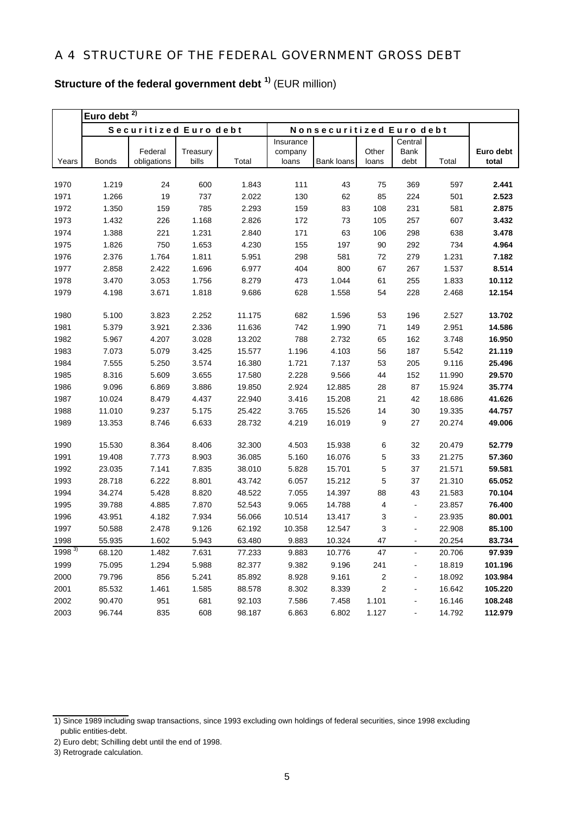| <b>Structure of the federal government debt</b> <sup>1)</sup> (EUR million) |  |
|-----------------------------------------------------------------------------|--|
|-----------------------------------------------------------------------------|--|

|                   | Euro debt $\overline{2)}$ |                        |                   |        |                  |                          |                |                              |        |                    |
|-------------------|---------------------------|------------------------|-------------------|--------|------------------|--------------------------|----------------|------------------------------|--------|--------------------|
|                   |                           | Securitized Euro debt  |                   |        |                  | Nonsecuritized Euro debt |                |                              |        |                    |
|                   |                           |                        |                   |        | Insurance        |                          |                | Central                      |        |                    |
| Years             | <b>Bonds</b>              | Federal<br>obligations | Treasury<br>bills | Total  | company<br>loans | Bank loans               | Other<br>loans | Bank<br>debt                 | Total  | Euro debt<br>total |
|                   |                           |                        |                   |        |                  |                          |                |                              |        |                    |
| 1970              | 1.219                     | 24                     | 600               | 1.843  | 111              | 43                       | 75             | 369                          | 597    | 2.441              |
| 1971              | 1.266                     | 19                     | 737               | 2.022  | 130              | 62                       | 85             | 224                          | 501    | 2.523              |
| 1972              | 1.350                     | 159                    | 785               | 2.293  | 159              | 83                       | 108            | 231                          | 581    | 2.875              |
| 1973              | 1.432                     | 226                    | 1.168             | 2.826  | 172              | 73                       | 105            | 257                          | 607    | 3.432              |
| 1974              | 1.388                     | 221                    | 1.231             | 2.840  | 171              | 63                       | 106            | 298                          | 638    | 3.478              |
| 1975              | 1.826                     | 750                    | 1.653             | 4.230  | 155              | 197                      | 90             | 292                          | 734    | 4.964              |
| 1976              | 2.376                     | 1.764                  | 1.811             | 5.951  | 298              | 581                      | 72             | 279                          | 1.231  | 7.182              |
| 1977              | 2.858                     | 2.422                  | 1.696             | 6.977  | 404              | 800                      | 67             | 267                          | 1.537  | 8.514              |
| 1978              | 3.470                     | 3.053                  | 1.756             | 8.279  | 473              | 1.044                    | 61             | 255                          | 1.833  | 10.112             |
| 1979              | 4.198                     | 3.671                  | 1.818             | 9.686  | 628              | 1.558                    | 54             | 228                          | 2.468  | 12.154             |
|                   |                           |                        |                   |        |                  |                          |                |                              |        |                    |
| 1980              | 5.100                     | 3.823                  | 2.252             | 11.175 | 682              | 1.596                    | 53             | 196                          | 2.527  | 13.702             |
| 1981              | 5.379                     | 3.921                  | 2.336             | 11.636 | 742              | 1.990                    | 71             | 149                          | 2.951  | 14.586             |
| 1982              | 5.967                     | 4.207                  | 3.028             | 13.202 | 788              | 2.732                    | 65             | 162                          | 3.748  | 16.950             |
| 1983              | 7.073                     | 5.079                  | 3.425             | 15.577 | 1.196            | 4.103                    | 56             | 187                          | 5.542  | 21.119             |
| 1984              | 7.555                     | 5.250                  | 3.574             | 16.380 | 1.721            | 7.137                    | 53             | 205                          | 9.116  | 25.496             |
| 1985              | 8.316                     | 5.609                  | 3.655             | 17.580 | 2.228            | 9.566                    | 44             | 152                          | 11.990 | 29.570             |
| 1986              | 9.096                     | 6.869                  | 3.886             | 19.850 | 2.924            | 12.885                   | 28             | 87                           | 15.924 | 35.774             |
| 1987              | 10.024                    | 8.479                  | 4.437             | 22.940 | 3.416            | 15.208                   | 21             | 42                           | 18.686 | 41.626             |
| 1988              | 11.010                    | 9.237                  | 5.175             | 25.422 | 3.765            | 15.526                   | 14             | 30                           | 19.335 | 44.757             |
| 1989              | 13.353                    | 8.746                  | 6.633             | 28.732 | 4.219            | 16.019                   | 9              | 27                           | 20.274 | 49.006             |
| 1990              | 15.530                    | 8.364                  | 8.406             | 32.300 | 4.503            | 15.938                   | 6              | 32                           | 20.479 | 52.779             |
| 1991              | 19.408                    | 7.773                  | 8.903             | 36.085 | 5.160            | 16.076                   | 5              | 33                           | 21.275 | 57.360             |
| 1992              | 23.035                    | 7.141                  | 7.835             | 38.010 | 5.828            | 15.701                   | 5              | 37                           | 21.571 | 59.581             |
| 1993              | 28.718                    | 6.222                  | 8.801             | 43.742 | 6.057            | 15.212                   | 5              | 37                           | 21.310 | 65.052             |
| 1994              | 34.274                    | 5.428                  | 8.820             | 48.522 | 7.055            | 14.397                   | 88             | 43                           | 21.583 | 70.104             |
| 1995              | 39.788                    | 4.885                  | 7.870             | 52.543 | 9.065            | 14.788                   | 4              | $\blacksquare$               | 23.857 | 76.400             |
| 1996              | 43.951                    | 4.182                  | 7.934             | 56.066 | 10.514           | 13.417                   | 3              | $\blacksquare$               | 23.935 | 80.001             |
| 1997              | 50.588                    | 2.478                  | 9.126             | 62.192 | 10.358           | 12.547                   | 3              | $\blacksquare$               | 22.908 | 85.100             |
| 1998              | 55.935                    | 1.602                  | 5.943             | 63.480 | 9.883            | 10.324                   | 47             |                              | 20.254 | 83.734             |
| 1998 <sup>3</sup> | 68.120                    | 1.482                  | 7.631             | 77.233 | 9.883            | 10.776                   | 47             | $\blacksquare$               | 20.706 | 97.939             |
| 1999              | 75.095                    | 1.294                  | 5.988             | 82.377 | 9.382            | 9.196                    | 241            | ۰                            | 18.819 | 101.196            |
| 2000              | 79.796                    | 856                    | 5.241             | 85.892 | 8.928            | 9.161                    | 2              |                              | 18.092 | 103.984            |
| 2001              | 85.532                    | 1.461                  | 1.585             | 88.578 | 8.302            | 8.339                    | 2              | $\overline{\phantom{0}}$     | 16.642 | 105.220            |
| 2002              | 90.470                    | 951                    | 681               | 92.103 | 7.586            | 7.458                    | 1.101          |                              | 16.146 | 108.248            |
| 2003              | 96.744                    | 835                    | 608               | 98.187 | 6.863            | 6.802                    | 1.127          | $\qquad \qquad \blacksquare$ | 14.792 | 112.979            |

<sup>1)</sup> Since 1989 including swap transactions, since 1993 excluding own holdings of federal securities, since 1998 excluding public entities-debt.

<sup>2)</sup> Euro debt; Schilling debt until the end of 1998.

<sup>3)</sup> Retrograde calculation.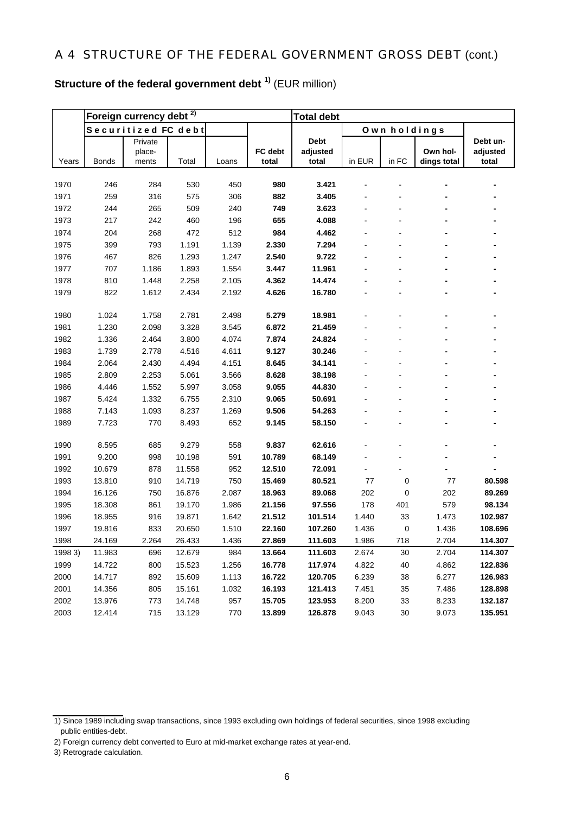# **Structure of the federal government debt 1)** (EUR million)

|              |                  | Foreign currency debt <sup>2)</sup> |                  |            |                  | <b>Total debt</b> |        |              |             |          |
|--------------|------------------|-------------------------------------|------------------|------------|------------------|-------------------|--------|--------------|-------------|----------|
|              |                  | Securitized FC debt                 |                  |            |                  |                   |        | Own holdings |             |          |
|              |                  | Private                             |                  |            |                  | <b>Debt</b>       |        |              |             | Debt un- |
|              |                  | place-                              |                  |            | FC debt          | adjusted          |        |              | Own hol-    | adjusted |
| Years        | <b>Bonds</b>     | ments                               | Total            | Loans      | total            | total             | in EUR | in FC        | dings total | total    |
|              |                  | 284                                 |                  |            | 980              | 3.421             |        |              |             |          |
| 1970<br>1971 | 246<br>259       | 316                                 | 530<br>575       | 450<br>306 | 882              | 3.405             |        |              |             |          |
| 1972         | 244              | 265                                 | 509              | 240        | 749              | 3.623             |        |              |             |          |
| 1973         | 217              | 242                                 | 460              | 196        | 655              | 4.088             |        |              |             |          |
| 1974         | 204              | 268                                 | 472              | 512        | 984              | 4.462             |        |              |             |          |
| 1975         | 399              | 793                                 | 1.191            | 1.139      | 2.330            | 7.294             |        |              |             |          |
| 1976         | 467              | 826                                 | 1.293            | 1.247      | 2.540            | 9.722             |        |              |             |          |
| 1977         | 707              | 1.186                               | 1.893            | 1.554      | 3.447            | 11.961            |        |              |             |          |
| 1978         | 810              | 1.448                               | 2.258            | 2.105      | 4.362            | 14.474            |        |              |             |          |
| 1979         | 822              | 1.612                               | 2.434            | 2.192      | 4.626            | 16.780            |        |              |             |          |
|              |                  |                                     |                  |            |                  |                   |        |              |             |          |
| 1980         | 1.024            | 1.758                               | 2.781            | 2.498      | 5.279            | 18.981            |        |              |             |          |
| 1981         | 1.230            | 2.098                               | 3.328            | 3.545      | 6.872            | 21.459            |        |              |             |          |
| 1982         | 1.336            | 2.464                               | 3.800            | 4.074      | 7.874            | 24.824            |        |              |             |          |
| 1983         | 1.739            | 2.778                               | 4.516            | 4.611      | 9.127            | 30.246            |        |              |             |          |
| 1984         | 2.064            | 2.430                               | 4.494            | 4.151      | 8.645            | 34.141            |        |              |             |          |
| 1985         | 2.809            | 2.253                               | 5.061            | 3.566      | 8.628            | 38.198            |        |              |             |          |
| 1986         | 4.446            | 1.552                               | 5.997            | 3.058      | 9.055            | 44.830            |        |              |             |          |
| 1987         | 5.424            | 1.332                               | 6.755            | 2.310      | 9.065            | 50.691            |        |              |             |          |
| 1988         | 7.143            | 1.093                               | 8.237            | 1.269      | 9.506            | 54.263            |        |              |             |          |
| 1989         | 7.723            | 770                                 | 8.493            | 652        | 9.145            | 58.150            |        |              |             |          |
|              |                  |                                     |                  |            |                  |                   |        |              |             |          |
| 1990         | 8.595            | 685                                 | 9.279            | 558        | 9.837            | 62.616            |        |              |             |          |
| 1991         | 9.200            | 998                                 | 10.198           | 591        | 10.789           | 68.149            |        |              |             |          |
| 1992<br>1993 | 10.679<br>13.810 | 878<br>910                          | 11.558<br>14.719 | 952<br>750 | 12.510<br>15.469 | 72.091<br>80.521  | 77     | 0            | 77          | 80.598   |
| 1994         | 16.126           | 750                                 | 16.876           | 2.087      | 18.963           | 89.068            | 202    | 0            | 202         | 89.269   |
| 1995         | 18.308           | 861                                 | 19.170           | 1.986      | 21.156           | 97.556            | 178    | 401          | 579         | 98.134   |
| 1996         | 18.955           | 916                                 | 19.871           | 1.642      | 21.512           | 101.514           | 1.440  | 33           | 1.473       | 102.987  |
| 1997         | 19.816           | 833                                 | 20.650           | 1.510      | 22.160           | 107.260           | 1.436  | 0            | 1.436       | 108.696  |
| 1998         | 24.169           | 2.264                               | 26.433           | 1.436      | 27.869           | 111.603           | 1.986  | 718          | 2.704       | 114.307  |
| 1998 3)      | 11.983           | 696                                 | 12.679           | 984        | 13.664           | 111.603           | 2.674  | 30           | 2.704       | 114.307  |
| 1999         | 14.722           | 800                                 | 15.523           | 1.256      | 16.778           | 117.974           | 4.822  | 40           | 4.862       | 122.836  |
| 2000         | 14.717           | 892                                 | 15.609           | 1.113      | 16.722           | 120.705           | 6.239  | 38           | 6.277       | 126.983  |
| 2001         | 14.356           | 805                                 | 15.161           | 1.032      | 16.193           | 121.413           | 7.451  | 35           | 7.486       | 128.898  |
| 2002         | 13.976           | 773                                 | 14.748           | 957        | 15.705           | 123.953           | 8.200  | 33           | 8.233       | 132.187  |
| 2003         | 12.414           | 715                                 | 13.129           | 770        | 13.899           | 126.878           | 9.043  | 30           | 9.073       | 135.951  |

- 2) Foreign currency debt converted to Euro at mid-market exchange rates at year-end.
- 3) Retrograde calculation.

<sup>1)</sup> Since 1989 including swap transactions, since 1993 excluding own holdings of federal securities, since 1998 excluding public entities-debt.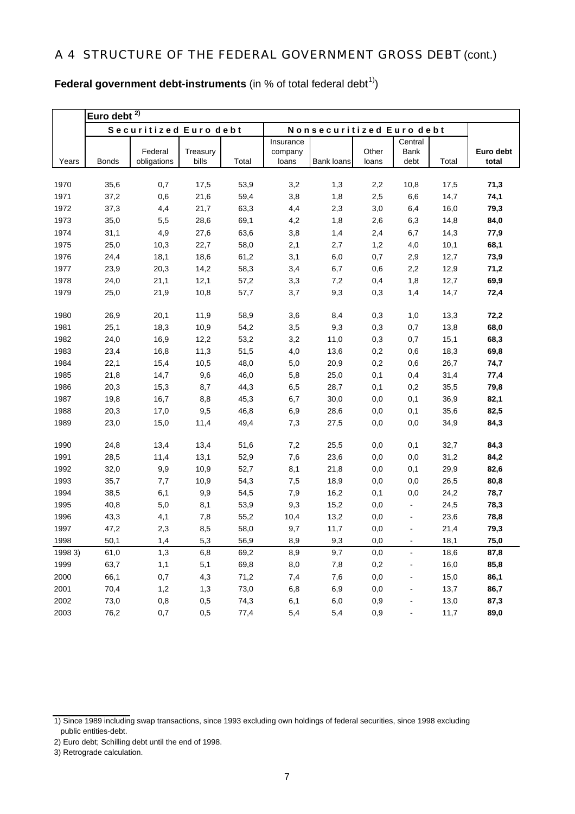| Federal government debt-instruments (in $%$ of total federal debt <sup>1)</sup> ) |  |
|-----------------------------------------------------------------------------------|--|
|-----------------------------------------------------------------------------------|--|

|         | Euro debt $2)$ |                        |                   |       |                  |                          |                |                |       |                    |
|---------|----------------|------------------------|-------------------|-------|------------------|--------------------------|----------------|----------------|-------|--------------------|
|         |                | Securitized Euro debt  |                   |       |                  | Nonsecuritized Euro debt |                |                |       |                    |
|         |                |                        |                   |       | Insurance        |                          |                | Central        |       |                    |
| Years   | <b>Bonds</b>   | Federal<br>obligations | Treasury<br>bills | Total | company<br>loans | <b>Bank loans</b>        | Other<br>loans | Bank<br>debt   | Total | Euro debt<br>total |
|         |                |                        |                   |       |                  |                          |                |                |       |                    |
| 1970    | 35,6           | 0,7                    | 17,5              | 53,9  | 3,2              | 1,3                      | 2,2            | 10,8           | 17,5  | 71,3               |
| 1971    | 37,2           | 0,6                    | 21,6              | 59,4  | 3,8              | 1,8                      | 2,5            | 6,6            | 14,7  | 74,1               |
| 1972    | 37,3           | 4,4                    | 21,7              | 63,3  | 4,4              | 2,3                      | 3,0            | 6,4            | 16,0  | 79,3               |
| 1973    | 35,0           | 5,5                    | 28,6              | 69,1  | 4,2              | 1,8                      | 2,6            | 6,3            | 14,8  | 84,0               |
| 1974    | 31,1           | 4,9                    | 27,6              | 63,6  | 3,8              | 1,4                      | 2,4            | 6,7            | 14,3  | 77,9               |
| 1975    | 25,0           | 10,3                   | 22,7              | 58,0  | 2,1              | 2,7                      | 1,2            | 4,0            | 10,1  | 68,1               |
| 1976    | 24,4           | 18,1                   | 18,6              | 61,2  | 3,1              | 6,0                      | 0,7            | 2,9            | 12,7  | 73,9               |
| 1977    | 23,9           | 20,3                   | 14,2              | 58,3  | 3,4              | 6,7                      | 0,6            | 2,2            | 12,9  | 71,2               |
| 1978    | 24,0           | 21,1                   | 12,1              | 57,2  | 3,3              | 7,2                      | 0,4            | 1,8            | 12,7  | 69,9               |
| 1979    | 25,0           | 21,9                   | 10,8              | 57,7  | 3,7              | 9,3                      | 0,3            | 1,4            | 14,7  | 72,4               |
| 1980    | 26,9           | 20,1                   | 11,9              | 58,9  | 3,6              | 8,4                      | 0,3            | 1,0            | 13,3  | 72,2               |
| 1981    | 25,1           | 18,3                   | 10,9              | 54,2  | 3,5              | 9,3                      | 0,3            | 0,7            | 13,8  | 68,0               |
| 1982    | 24,0           | 16,9                   | 12,2              | 53,2  | 3,2              | 11,0                     | 0,3            | 0,7            | 15,1  | 68,3               |
| 1983    | 23,4           | 16,8                   | 11,3              | 51,5  | 4,0              | 13,6                     | 0,2            | 0,6            | 18,3  | 69,8               |
| 1984    | 22,1           | 15,4                   | 10,5              | 48,0  | 5,0              | 20,9                     | 0,2            | 0,6            | 26,7  | 74,7               |
| 1985    | 21,8           | 14,7                   | 9,6               | 46,0  | 5,8              | 25,0                     | 0,1            | 0,4            | 31,4  | 77,4               |
| 1986    | 20,3           | 15,3                   | 8,7               | 44,3  | 6,5              | 28,7                     | 0,1            | 0,2            | 35,5  | 79,8               |
| 1987    | 19,8           | 16,7                   | 8,8               | 45,3  | 6,7              | 30,0                     | 0,0            | 0,1            | 36,9  | 82,1               |
| 1988    | 20,3           | 17,0                   | 9,5               | 46,8  | 6,9              | 28,6                     | 0,0            | 0,1            | 35,6  | 82,5               |
| 1989    | 23,0           | 15,0                   | 11,4              | 49,4  | 7,3              | 27,5                     | 0,0            | 0,0            | 34,9  | 84,3               |
| 1990    | 24,8           | 13,4                   | 13,4              | 51,6  | 7,2              | 25,5                     | 0,0            | 0,1            | 32,7  | 84,3               |
| 1991    | 28,5           | 11,4                   | 13,1              | 52,9  | 7,6              | 23,6                     | 0,0            | 0,0            | 31,2  | 84,2               |
| 1992    | 32,0           | 9,9                    | 10,9              | 52,7  | 8,1              | 21,8                     | 0,0            | 0,1            | 29,9  | 82,6               |
| 1993    | 35,7           | 7,7                    | 10,9              | 54,3  | 7,5              | 18,9                     | 0,0            | 0,0            | 26,5  | 80,8               |
| 1994    | 38,5           | 6,1                    | 9,9               | 54,5  | 7,9              | 16,2                     | 0,1            | 0,0            | 24,2  | 78,7               |
| 1995    | 40,8           | 5,0                    | 8,1               | 53,9  | 9,3              | 15,2                     | 0,0            | $\blacksquare$ | 24,5  | 78,3               |
| 1996    | 43,3           | 4,1                    | 7,8               | 55,2  | 10,4             | 13,2                     | 0,0            | $\blacksquare$ | 23,6  | 78,8               |
| 1997    | 47,2           | 2,3                    | 8,5               | 58,0  | 9,7              | 11,7                     | 0,0            | $\blacksquare$ | 21,4  | 79,3               |
| 1998    | 50,1           | 1,4                    | 5,3               | 56,9  | 8,9              | 9,3                      | $_{0,0}$       |                | 18,1  | $\bf 75,\!0$       |
| 1998 3) | 61,0           | 1,3                    | 6,8               | 69,2  | 8,9              | 9,7                      | 0,0            | $\blacksquare$ | 18,6  | 87,8               |
| 1999    | 63,7           | 1,1                    | 5,1               | 69,8  | 8,0              | 7,8                      | 0,2            | -              | 16,0  | 85,8               |
| 2000    | 66,1           | 0,7                    | 4,3               | 71,2  | 7,4              | 7,6                      | 0,0            | $\blacksquare$ | 15,0  | 86,1               |
| 2001    | 70,4           | 1,2                    | 1,3               | 73,0  | 6,8              | 6,9                      | 0,0            |                | 13,7  | 86,7               |
| 2002    | 73,0           | 0,8                    | 0,5               | 74,3  | 6,1              | 6,0                      | 0,9            |                | 13,0  | 87,3               |
| 2003    | 76,2           | 0,7                    | 0,5               | 77,4  | 5,4              | 5,4                      | 0,9            |                | 11,7  | 89,0               |

<sup>1)</sup> Since 1989 including swap transactions, since 1993 excluding own holdings of federal securities, since 1998 excluding public entities-debt.

<sup>2)</sup> Euro debt; Schilling debt until the end of 1998.

<sup>3)</sup> Retrograde calculation.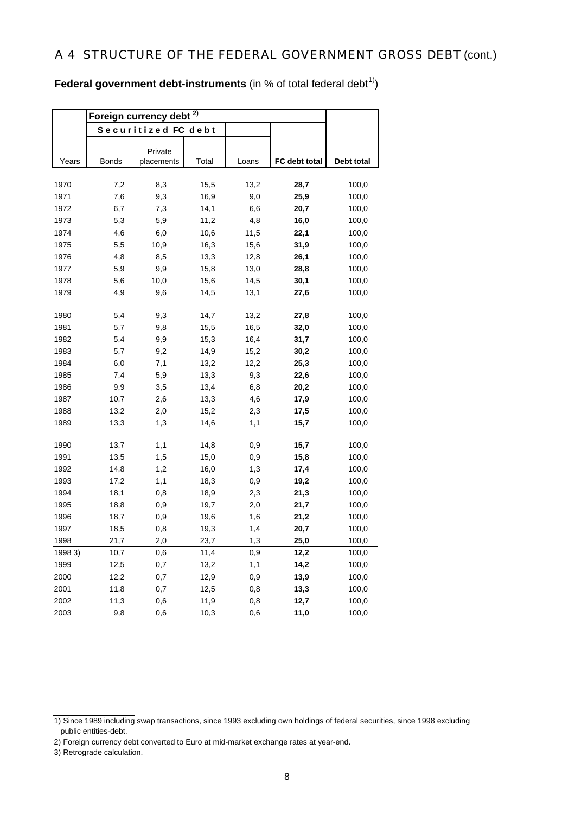**Federal government debt-instruments** (in % of total federal debt<sup>1)</sup>)

|         | Foreign currency debt |                       |       |       |               |            |
|---------|-----------------------|-----------------------|-------|-------|---------------|------------|
|         |                       | Securitized FC debt   |       |       |               |            |
|         |                       |                       |       |       |               |            |
| Years   | <b>Bonds</b>          | Private<br>placements | Total | Loans | FC debt total | Debt total |
|         |                       |                       |       |       |               |            |
| 1970    | 7,2                   | 8,3                   | 15,5  | 13,2  | 28,7          | 100,0      |
| 1971    | 7,6                   | 9,3                   | 16,9  | 9,0   | 25,9          | 100,0      |
| 1972    | 6,7                   | 7,3                   | 14,1  | 6,6   | 20,7          | 100,0      |
| 1973    | 5,3                   | 5,9                   | 11,2  | 4,8   | 16,0          | 100,0      |
| 1974    | 4,6                   | 6,0                   | 10,6  | 11,5  | 22,1          | 100,0      |
| 1975    | 5,5                   | 10,9                  | 16,3  | 15,6  | 31,9          | 100,0      |
| 1976    | 4,8                   | 8,5                   | 13,3  | 12,8  | 26,1          | 100,0      |
| 1977    | 5,9                   | 9,9                   | 15,8  | 13,0  | 28,8          | 100,0      |
| 1978    | 5,6                   | 10,0                  | 15,6  | 14,5  | 30,1          | 100,0      |
| 1979    | 4,9                   | 9,6                   | 14,5  | 13,1  | 27,6          | 100,0      |
|         |                       |                       |       |       |               |            |
| 1980    | 5,4                   | 9,3                   | 14,7  | 13,2  | 27,8          | 100,0      |
| 1981    | 5,7                   | 9,8                   | 15,5  | 16,5  | 32,0          | 100,0      |
| 1982    | 5,4                   | 9,9                   | 15,3  | 16,4  | 31,7          | 100,0      |
| 1983    | 5,7                   | 9,2                   | 14,9  | 15,2  | 30,2          | 100,0      |
| 1984    | 6,0                   | 7,1                   | 13,2  | 12,2  | 25,3          | 100,0      |
| 1985    | 7,4                   | 5,9                   | 13,3  | 9,3   | 22,6          | 100,0      |
| 1986    | 9,9                   | 3,5                   | 13,4  | 6,8   | 20,2          | 100,0      |
| 1987    | 10,7                  | 2,6                   | 13,3  | 4,6   | 17,9          | 100,0      |
| 1988    | 13,2                  | 2,0                   | 15,2  | 2,3   | 17,5          | 100,0      |
| 1989    | 13,3                  | 1,3                   | 14,6  | 1,1   | 15,7          | 100,0      |
| 1990    | 13,7                  | 1,1                   | 14,8  | 0,9   | 15,7          | 100,0      |
| 1991    | 13,5                  | 1,5                   | 15,0  | 0,9   | 15,8          | 100,0      |
| 1992    | 14,8                  | 1,2                   | 16,0  | 1,3   | 17,4          | 100,0      |
| 1993    | 17,2                  | 1,1                   | 18,3  | 0,9   | 19,2          | 100,0      |
| 1994    | 18,1                  | 0,8                   | 18,9  | 2,3   | 21,3          | 100,0      |
| 1995    | 18,8                  | 0,9                   | 19,7  | 2,0   | 21,7          | 100,0      |
| 1996    | 18,7                  | 0,9                   | 19,6  | 1,6   | 21,2          | 100,0      |
| 1997    | 18,5                  | 0,8                   | 19,3  | 1,4   | 20,7          | 100,0      |
| 1998    | 21,7                  | 2,0                   | 23,7  | 1,3   | 25,0          | 100,0      |
| 1998 3) | 10,7                  | 0,6                   | 11,4  | 0,9   | 12,2          | 100,0      |
| 1999    | 12,5                  | 0,7                   | 13,2  | 1,1   | 14,2          | 100,0      |
| 2000    | 12,2                  | 0,7                   | 12,9  | 0,9   | 13,9          | 100,0      |
| 2001    | 11,8                  | 0,7                   | 12,5  | 0,8   | 13,3          | 100,0      |
| 2002    | 11,3                  | 0,6                   | 11,9  | 0,8   | 12,7          | 100,0      |
| 2003    | 9,8                   | 0,6                   | 10,3  | 0,6   | 11,0          | 100,0      |

<sup>1)</sup> Since 1989 including swap transactions, since 1993 excluding own holdings of federal securities, since 1998 excluding public entities-debt.

<sup>2)</sup> Foreign currency debt converted to Euro at mid-market exchange rates at year-end.

<sup>3)</sup> Retrograde calculation.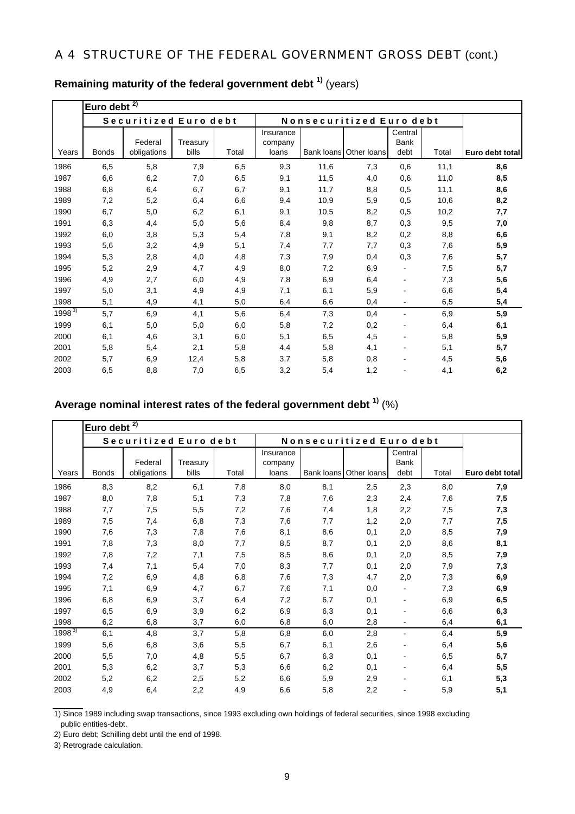|            | Euro debt $\overline{2)}$ |                        |                   |       |                               |                          |                        |                                |       |                 |
|------------|---------------------------|------------------------|-------------------|-------|-------------------------------|--------------------------|------------------------|--------------------------------|-------|-----------------|
|            |                           | Securitized Euro debt  |                   |       |                               | Nonsecuritized Euro debt |                        |                                |       |                 |
| Years      | <b>Bonds</b>              | Federal<br>obligations | Treasury<br>bills | Total | Insurance<br>company<br>loans |                          | Bank loans Other loans | Central<br><b>Bank</b><br>debt | Total | Euro debt total |
| 1986       | 6,5                       | 5,8                    | 7,9               | 6,5   | 9,3                           | 11,6                     | 7,3                    | 0,6                            | 11,1  | 8,6             |
| 1987       | 6,6                       | 6,2                    | 7,0               | 6,5   | 9,1                           | 11,5                     | 4,0                    | 0,6                            | 11,0  | 8,5             |
| 1988       | 6,8                       | 6,4                    | 6,7               | 6,7   | 9,1                           | 11,7                     | 8,8                    | 0,5                            | 11,1  | 8,6             |
| 1989       | 7,2                       | 5,2                    | 6,4               | 6,6   | 9,4                           | 10,9                     | 5,9                    | 0,5                            | 10,6  | 8,2             |
| 1990       | 6,7                       | 5,0                    | 6,2               | 6,1   | 9,1                           | 10,5                     | 8,2                    | 0,5                            | 10,2  | 7,7             |
| 1991       | 6,3                       | 4,4                    | 5,0               | 5,6   | 8,4                           | 9,8                      | 8,7                    | 0,3                            | 9,5   | 7,0             |
| 1992       | 6,0                       | 3,8                    | 5,3               | 5,4   | 7,8                           | 9,1                      | 8,2                    | 0,2                            | 8,8   | 6,6             |
| 1993       | 5,6                       | 3,2                    | 4,9               | 5,1   | 7,4                           | 7,7                      | 7,7                    | 0,3                            | 7,6   | 5,9             |
| 1994       | 5,3                       | 2,8                    | 4,0               | 4,8   | 7,3                           | 7,9                      | 0,4                    | 0,3                            | 7,6   | 5,7             |
| 1995       | 5,2                       | 2,9                    | 4,7               | 4,9   | 8,0                           | 7,2                      | 6,9                    |                                | 7,5   | 5,7             |
| 1996       | 4,9                       | 2,7                    | 6,0               | 4,9   | 7,8                           | 6,9                      | 6,4                    |                                | 7,3   | 5,6             |
| 1997       | 5,0                       | 3,1                    | 4,9               | 4,9   | 7,1                           | 6,1                      | 5,9                    |                                | 6,6   | 5,4             |
| 1998       | 5,1                       | 4,9                    | 4,1               | 5,0   | 6,4                           | 6,6                      | 0,4                    | -                              | 6,5   | 5,4             |
| $1998^{3}$ | 5,7                       | 6,9                    | 4,1               | 5,6   | 6,4                           | 7,3                      | 0,4                    | -                              | 6,9   | 5,9             |
| 1999       | 6,1                       | 5,0                    | 5,0               | 6,0   | 5,8                           | 7,2                      | 0,2                    |                                | 6,4   | 6,1             |
| 2000       | 6,1                       | 4,6                    | 3,1               | 6,0   | 5,1                           | 6,5                      | 4,5                    | -                              | 5,8   | 5,9             |
| 2001       | 5,8                       | 5,4                    | 2,1               | 5,8   | 4,4                           | 5,8                      | 4,1                    |                                | 5,1   | 5,7             |
| 2002       | 5,7                       | 6,9                    | 12,4              | 5,8   | 3,7                           | 5,8                      | 0,8                    |                                | 4,5   | 5,6             |
| 2003       | 6,5                       | 8,8                    | 7,0               | 6,5   | 3,2                           | 5,4                      | 1,2                    |                                | 4,1   | 6,2             |

# **Remaining maturity of the federal government debt 1)** (years)

# **Average nominal interest rates of the federal government debt 1)** (%)

|            | 2)<br>Euro debt |                        |                   |       |                               |            |                          |                         |       |                 |
|------------|-----------------|------------------------|-------------------|-------|-------------------------------|------------|--------------------------|-------------------------|-------|-----------------|
|            |                 | Securitized Euro debt  |                   |       |                               |            | Nonsecuritized Euro debt |                         |       |                 |
| Years      | <b>Bonds</b>    | Federal<br>obligations | Treasury<br>bills | Total | Insurance<br>company<br>loans | Bank loans | Other loans              | Central<br>Bank<br>debt | Total | Euro debt total |
| 1986       | 8,3             | 8,2                    | 6,1               | 7,8   | 8,0                           | 8,1        | 2,5                      | 2,3                     | 8,0   | 7,9             |
| 1987       | 8,0             | 7,8                    | 5,1               | 7,3   | 7,8                           | 7,6        | 2,3                      | 2,4                     | 7,6   | 7,5             |
| 1988       | 7,7             | 7,5                    | 5,5               | 7,2   | 7,6                           | 7,4        | 1,8                      | 2,2                     | 7,5   | 7,3             |
| 1989       | 7,5             | 7,4                    | 6,8               | 7,3   | 7,6                           | 7,7        | 1,2                      | 2,0                     | 7,7   | 7,5             |
| 1990       | 7,6             | 7,3                    | 7,8               | 7,6   | 8,1                           | 8,6        | 0,1                      | 2,0                     | 8,5   | 7,9             |
| 1991       | 7,8             | 7,3                    | 8,0               | 7,7   | 8,5                           | 8,7        | 0,1                      | 2,0                     | 8,6   | 8,1             |
| 1992       | 7,8             | 7,2                    | 7,1               | 7,5   | 8,5                           | 8,6        | 0,1                      | 2,0                     | 8,5   | 7,9             |
| 1993       | 7,4             | 7,1                    | 5,4               | 7,0   | 8,3                           | 7,7        | 0,1                      | 2,0                     | 7,9   | 7,3             |
| 1994       | 7,2             | 6,9                    | 4,8               | 6,8   | 7,6                           | 7,3        | 4,7                      | 2,0                     | 7,3   | 6,9             |
| 1995       | 7,1             | 6,9                    | 4,7               | 6,7   | 7,6                           | 7,1        | 0,0                      |                         | 7,3   | 6,9             |
| 1996       | 6,8             | 6,9                    | 3,7               | 6,4   | 7,2                           | 6,7        | 0,1                      |                         | 6,9   | 6,5             |
| 1997       | 6,5             | 6,9                    | 3,9               | 6,2   | 6,9                           | 6,3        | 0,1                      |                         | 6,6   | 6,3             |
| 1998       | 6,2             | 6,8                    | 3,7               | 6,0   | 6,8                           | 6,0        | 2,8                      |                         | 6,4   | 6,1             |
| $1998^{3}$ | 6,1             | 4,8                    | 3,7               | 5,8   | 6,8                           | 6,0        | 2,8                      |                         | 6,4   | 5,9             |
| 1999       | 5,6             | 6,8                    | 3,6               | 5,5   | 6,7                           | 6,1        | 2,6                      |                         | 6,4   | 5,6             |
| 2000       | 5,5             | 7,0                    | 4,8               | 5,5   | 6,7                           | 6,3        | 0,1                      |                         | 6,5   | 5,7             |
| 2001       | 5,3             | 6,2                    | 3,7               | 5,3   | 6,6                           | 6,2        | 0,1                      |                         | 6,4   | 5,5             |
| 2002       | 5,2             | 6,2                    | 2,5               | 5,2   | 6,6                           | 5,9        | 2,9                      |                         | 6,1   | 5,3             |
| 2003       | 4,9             | 6,4                    | 2,2               | 4,9   | 6,6                           | 5,8        | 2,2                      |                         | 5,9   | 5,1             |

1) Since 1989 including swap transactions, since 1993 excluding own holdings of federal securities, since 1998 excluding public entities-debt.

2) Euro debt; Schilling debt until the end of 1998.

3) Retrograde calculation.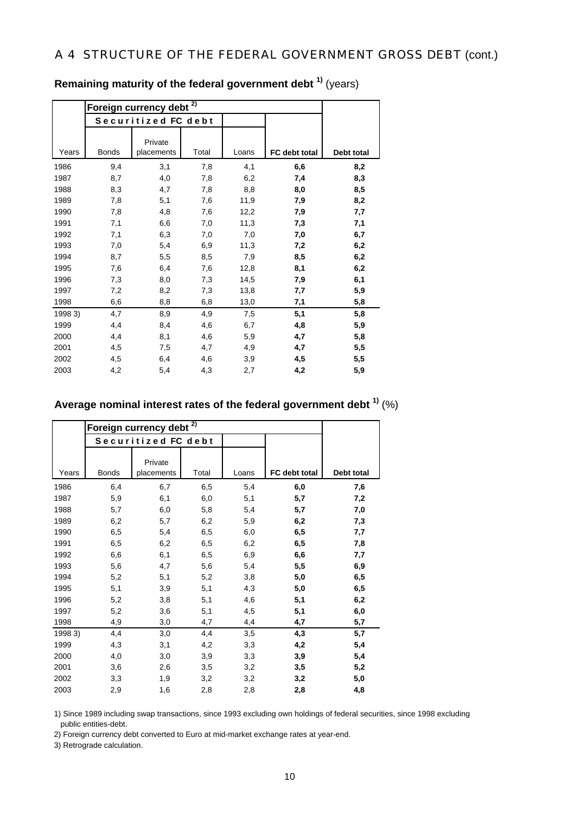|         | Foreign currency debt <sup>2)</sup> |                       |       |       |               |            |
|---------|-------------------------------------|-----------------------|-------|-------|---------------|------------|
|         |                                     | Securitized FC debt   |       |       |               |            |
| Years   | <b>Bonds</b>                        | Private<br>placements | Total | Loans | FC debt total | Debt total |
| 1986    | 9,4                                 | 3,1                   | 7,8   | 4,1   | 6,6           | 8,2        |
| 1987    | 8,7                                 | 4,0                   | 7,8   | 6,2   | 7,4           | 8,3        |
| 1988    | 8,3                                 | 4,7                   | 7,8   | 8,8   | 8,0           | 8,5        |
| 1989    | 7,8                                 | 5,1                   | 7,6   | 11,9  | 7,9           | 8,2        |
| 1990    | 7,8                                 | 4,8                   | 7,6   | 12,2  | 7,9           | 7,7        |
| 1991    | 7,1                                 | 6,6                   | 7,0   | 11,3  | 7,3           | 7,1        |
| 1992    | 7,1                                 | 6,3                   | 7,0   | 7,0   | 7,0           | 6,7        |
| 1993    | 7,0                                 | 5,4                   | 6,9   | 11,3  | 7,2           | 6,2        |
| 1994    | 8,7                                 | 5,5                   | 8,5   | 7,9   | 8,5           | 6,2        |
| 1995    | 7,6                                 | 6,4                   | 7,6   | 12,8  | 8,1           | 6,2        |
| 1996    | 7,3                                 | 8,0                   | 7,3   | 14,5  | 7,9           | 6,1        |
| 1997    | 7,2                                 | 8,2                   | 7,3   | 13,8  | 7,7           | 5,9        |
| 1998    | 6,6                                 | 8,8                   | 6,8   | 13,0  | 7,1           | 5,8        |
| 1998 3) | 4,7                                 | 8,9                   | 4,9   | 7,5   | 5,1           | 5,8        |
| 1999    | 4,4                                 | 8,4                   | 4,6   | 6,7   | 4,8           | 5,9        |
| 2000    | 4,4                                 | 8,1                   | 4,6   | 5,9   | 4,7           | 5,8        |
| 2001    | 4,5                                 | 7,5                   | 4,7   | 4,9   | 4,7           | 5,5        |
| 2002    | 4,5                                 | 6,4                   | 4,6   | 3,9   | 4,5           | 5,5        |
| 2003    | 4,2                                 | 5,4                   | 4,3   | 2,7   | 4,2           | 5,9        |

**Remaining maturity of the federal government debt 1)** (years)

## **Average nominal interest rates of the federal government debt 1)** (%)

|         | Foreign currency debt <sup>2)</sup> |                       |       |       |               |            |
|---------|-------------------------------------|-----------------------|-------|-------|---------------|------------|
|         |                                     | Securitized FC debt   |       |       |               |            |
| Years   | <b>Bonds</b>                        | Private<br>placements | Total | Loans | FC debt total | Debt total |
| 1986    | 6,4                                 | 6,7                   | 6,5   | 5,4   | 6,0           | 7,6        |
| 1987    | 5,9                                 | 6,1                   | 6,0   | 5,1   | 5,7           | 7,2        |
| 1988    | 5,7                                 | 6,0                   | 5,8   | 5,4   | 5,7           | 7,0        |
| 1989    | 6,2                                 | 5,7                   | 6,2   | 5,9   | 6,2           | 7,3        |
| 1990    | 6,5                                 | 5,4                   | 6,5   | 6,0   | 6,5           | 7,7        |
| 1991    | 6,5                                 | 6,2                   | 6,5   | 6,2   | 6,5           | 7,8        |
| 1992    | 6,6                                 | 6,1                   | 6,5   | 6,9   | 6,6           | 7,7        |
| 1993    | 5,6                                 | 4,7                   | 5,6   | 5,4   | 5,5           | 6,9        |
| 1994    | 5,2                                 | 5,1                   | 5,2   | 3,8   | 5,0           | 6,5        |
| 1995    | 5,1                                 | 3,9                   | 5,1   | 4,3   | 5,0           | 6,5        |
| 1996    | 5,2                                 | 3,8                   | 5,1   | 4,6   | 5,1           | 6,2        |
| 1997    | 5,2                                 | 3,6                   | 5,1   | 4,5   | 5,1           | 6,0        |
| 1998    | 4,9                                 | 3,0                   | 4,7   | 4,4   | 4,7           | 5,7        |
| 1998 3) | 4,4                                 | 3,0                   | 4,4   | 3,5   | 4,3           | 5,7        |
| 1999    | 4,3                                 | 3,1                   | 4,2   | 3,3   | 4,2           | 5,4        |
| 2000    | 4,0                                 | 3,0                   | 3,9   | 3,3   | 3,9           | 5,4        |
| 2001    | 3,6                                 | 2,6                   | 3,5   | 3,2   | 3,5           | 5,2        |
| 2002    | 3,3                                 | 1,9                   | 3,2   | 3,2   | 3,2           | 5,0        |
| 2003    | 2,9                                 | 1,6                   | 2,8   | 2,8   | 2,8           | 4,8        |

1) Since 1989 including swap transactions, since 1993 excluding own holdings of federal securities, since 1998 excluding public entities-debt.

2) Foreign currency debt converted to Euro at mid-market exchange rates at year-end.

3) Retrograde calculation.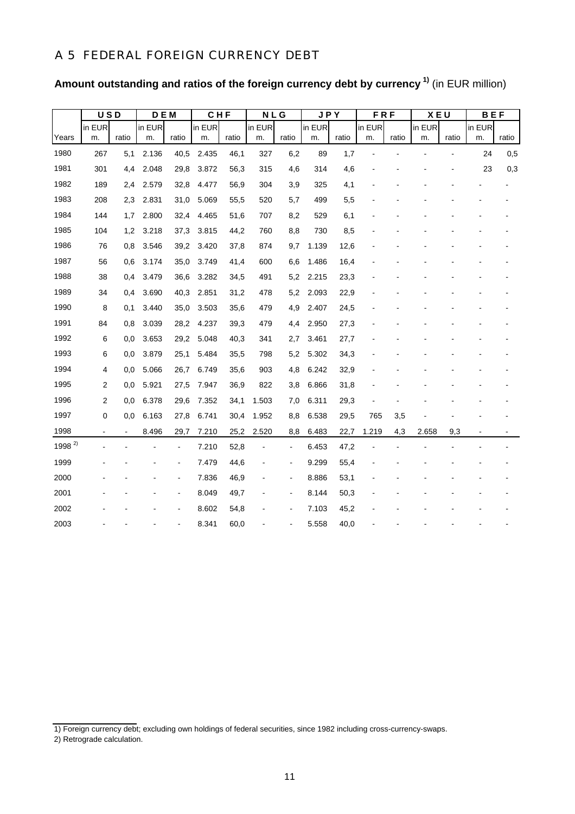### A 5 FEDERAL FOREIGN CURRENCY DEBT

|                    | <b>USD</b>               |       | <b>DEM</b> |                | CHF    |       | <b>NLG</b> |                | <b>JPY</b> |       | <b>FRF</b> |       | X E U  |       | <b>BEF</b> |       |
|--------------------|--------------------------|-------|------------|----------------|--------|-------|------------|----------------|------------|-------|------------|-------|--------|-------|------------|-------|
|                    | in EUR                   |       | in EUR     |                | in EUR |       | in EUR     |                | in EUR     |       | in EUR     |       | in EUR |       | in EUR     |       |
| Years              | m.                       | ratio | m.         | ratio          | m.     | ratio | m.         | ratio          | m.         | ratio | m.         | ratio | m.     | ratio | m.         | ratio |
| 1980               | 267                      | 5,1   | 2.136      | 40,5           | 2.435  | 46,1  | 327        | 6,2            | 89         | 1,7   |            |       |        |       | 24         | 0,5   |
| 1981               | 301                      | 4,4   | 2.048      | 29,8           | 3.872  | 56,3  | 315        | 4,6            | 314        | 4,6   |            |       |        |       | 23         | 0,3   |
| 1982               | 189                      | 2,4   | 2.579      | 32,8           | 4.477  | 56,9  | 304        | 3,9            | 325        | 4,1   |            |       |        |       |            |       |
| 1983               | 208                      | 2,3   | 2.831      | 31,0           | 5.069  | 55,5  | 520        | 5,7            | 499        | 5,5   |            |       |        |       |            |       |
| 1984               | 144                      | 1,7   | 2.800      | 32,4           | 4.465  | 51,6  | 707        | 8,2            | 529        | 6,1   |            |       |        |       |            |       |
| 1985               | 104                      | 1,2   | 3.218      | 37,3           | 3.815  | 44,2  | 760        | 8,8            | 730        | 8,5   |            |       |        |       |            |       |
| 1986               | 76                       | 0,8   | 3.546      | 39,2           | 3.420  | 37,8  | 874        | 9,7            | 1.139      | 12,6  |            |       |        |       |            |       |
| 1987               | 56                       | 0,6   | 3.174      | 35,0           | 3.749  | 41,4  | 600        | 6,6            | 1.486      | 16,4  |            |       |        |       |            |       |
| 1988               | 38                       | 0,4   | 3.479      | 36,6           | 3.282  | 34,5  | 491        | 5,2            | 2.215      | 23,3  |            |       |        |       |            |       |
| 1989               | 34                       | 0,4   | 3.690      | 40,3           | 2.851  | 31,2  | 478        | 5,2            | 2.093      | 22,9  |            |       |        |       |            |       |
| 1990               | 8                        | 0,1   | 3.440      | 35,0           | 3.503  | 35,6  | 479        | 4,9            | 2.407      | 24,5  |            |       |        |       |            |       |
| 1991               | 84                       | 0,8   | 3.039      | 28,2           | 4.237  | 39,3  | 479        | 4,4            | 2.950      | 27,3  |            |       |        |       |            |       |
| 1992               | 6                        | 0,0   | 3.653      | 29,2           | 5.048  | 40,3  | 341        | 2,7            | 3.461      | 27,7  |            |       |        |       |            |       |
| 1993               | 6                        | 0,0   | 3.879      | 25,1           | 5.484  | 35,5  | 798        | 5,2            | 5.302      | 34,3  |            |       |        |       |            |       |
| 1994               | 4                        | 0,0   | 5.066      | 26,7           | 6.749  | 35,6  | 903        | 4,8            | 6.242      | 32,9  |            |       |        |       |            |       |
| 1995               | 2                        | 0,0   | 5.921      | 27,5           | 7.947  | 36,9  | 822        | 3,8            | 6.866      | 31,8  |            |       |        |       |            |       |
| 1996               | 2                        | 0,0   | 6.378      | 29,6           | 7.352  | 34,1  | 1.503      | 7,0            | 6.311      | 29,3  |            |       |        |       |            |       |
| 1997               | 0                        | 0,0   | 6.163      | 27,8           | 6.741  | 30,4  | 1.952      | 8,8            | 6.538      | 29,5  | 765        | 3,5   |        |       |            |       |
| 1998               | $\overline{\phantom{a}}$ |       | 8.496      | 29,7           | 7.210  | 25,2  | 2.520      | 8,8            | 6.483      | 22,7  | 1.219      | 4,3   | 2.658  | 9,3   |            |       |
| 1998 <sup>2)</sup> |                          |       |            | $\blacksquare$ | 7.210  | 52,8  |            | $\blacksquare$ | 6.453      | 47,2  |            |       |        |       |            |       |
| 1999               |                          |       |            |                | 7.479  | 44,6  |            | $\overline{a}$ | 9.299      | 55,4  |            |       |        |       |            |       |
| 2000               |                          |       |            |                | 7.836  | 46,9  |            | $\blacksquare$ | 8.886      | 53,1  |            |       |        |       |            |       |
| 2001               |                          |       |            |                | 8.049  | 49,7  |            | $\blacksquare$ | 8.144      | 50,3  |            |       |        |       |            |       |
| 2002               |                          |       |            |                | 8.602  | 54,8  |            | $\overline{a}$ | 7.103      | 45,2  |            |       |        |       |            |       |
| 2003               |                          |       |            |                | 8.341  | 60,0  |            |                | 5.558      | 40,0  |            |       |        |       |            |       |

**Amount outstanding and ratios of the foreign currency debt by currency 1)** (in EUR million)

<sup>1)</sup> Foreign currency debt; excluding own holdings of federal securities, since 1982 including cross-currency-swaps.

<sup>2)</sup> Retrograde calculation.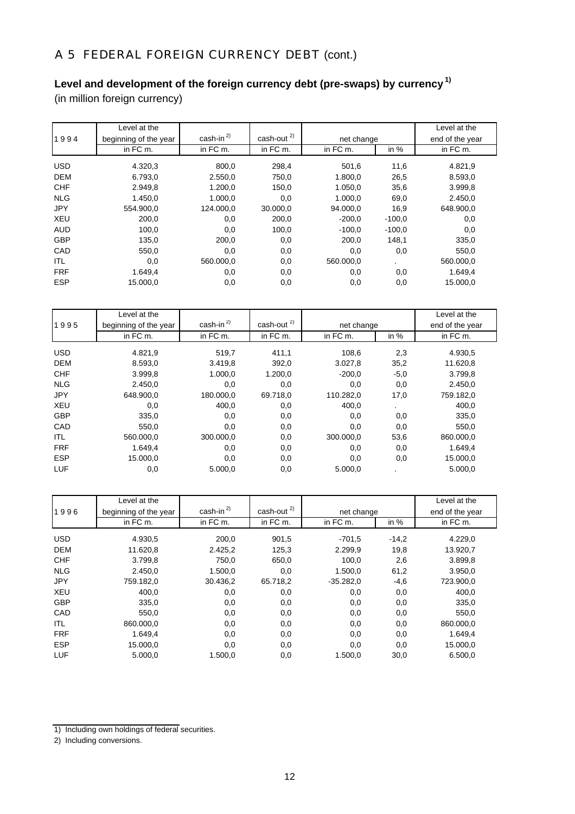# A 5 FEDERAL FOREIGN CURRENCY DEBT (cont.)

# **Level and development of the foreign currency debt (pre-swaps) by currency 1)**

(in million foreign currency)

|            | Level at the          |            |                        |           |            | Level at the |
|------------|-----------------------|------------|------------------------|-----------|------------|--------------|
| 1994       | beginning of the year | $cash-in2$ | cash-out <sup>2)</sup> |           | net change |              |
|            | in FC m.              | in FC m.   | in FC m.               | in FC m.  | in $%$     | in FC m.     |
| <b>USD</b> | 4.320,3               | 800,0      | 298,4                  | 501,6     | 11,6       | 4.821,9      |
|            |                       |            |                        |           |            |              |
| <b>DEM</b> | 6.793,0               | 2.550,0    | 750,0                  | 1.800,0   | 26,5       | 8.593,0      |
| <b>CHF</b> | 2.949,8               | 1.200.0    | 150,0                  | 1.050.0   | 35,6       | 3.999,8      |
| <b>NLG</b> | 1.450.0               | 1.000.0    | 0,0                    | 1.000.0   | 69,0       | 2.450,0      |
| <b>JPY</b> | 554.900.0             | 124.000.0  | 30.000,0               | 94.000.0  | 16,9       | 648.900,0    |
| <b>XEU</b> | 200,0                 | 0,0        | 200,0                  | $-200,0$  | $-100,0$   | 0,0          |
| <b>AUD</b> | 100,0                 | 0,0        | 100,0                  | $-100.0$  | $-100.0$   | 0,0          |
| <b>GBP</b> | 135,0                 | 200,0      | 0,0                    | 200.0     | 148,1      | 335,0        |
| CAD        | 550,0                 | 0,0        | 0,0                    | 0,0       | 0,0        | 550,0        |
| ITL        | 0,0                   | 560.000.0  | 0,0                    | 560,000.0 |            | 560.000,0    |
| <b>FRF</b> | 1.649,4               | 0,0        | 0,0                    | 0,0       | 0,0        | 1.649,4      |
| <b>ESP</b> | 15,000.0              | 0,0        | 0,0                    | 0,0       | 0,0        | 15,000.0     |

|            | Level at the          |                 |                  |           |            | Level at the |
|------------|-----------------------|-----------------|------------------|-----------|------------|--------------|
| 1995       | beginning of the year | cash-in $^{2)}$ | cash-out $^{2)}$ |           | net change |              |
|            | in FC m.              | in FC m.        | in FC m.         | in FC m.  | in $%$     | in FC m.     |
| <b>USD</b> | 4.821,9               | 519,7           | 411.1            | 108.6     | 2,3        | 4.930,5      |
| <b>DEM</b> | 8.593,0               | 3.419,8         | 392,0            | 3.027,8   | 35,2       | 11.620,8     |
| <b>CHF</b> | 3.999,8               | 1.000.0         | 1.200,0          | $-200.0$  | $-5,0$     | 3.799,8      |
| <b>NLG</b> | 2.450.0               | 0,0             | 0,0              | 0,0       | 0,0        | 2.450,0      |
| <b>JPY</b> | 648.900.0             | 180.000,0       | 69.718.0         | 110.282,0 | 17,0       | 759.182,0    |
| <b>XEU</b> | 0,0                   | 400,0           | 0,0              | 400,0     |            | 400,0        |
| <b>GBP</b> | 335,0                 | 0,0             | 0,0              | 0,0       | 0,0        | 335,0        |
| CAD        | 550,0                 | 0,0             | 0,0              | 0,0       | 0,0        | 550,0        |
| ITL        | 560,000.0             | 300,000.0       | 0,0              | 300,000.0 | 53,6       | 860.000,0    |
| <b>FRF</b> | 1.649,4               | 0,0             | 0,0              | 0,0       | 0,0        | 1.649,4      |
| <b>ESP</b> | 15,000.0              | 0,0             | 0,0              | 0,0       | 0,0        | 15.000,0     |
| LUF        | 0,0                   | 5.000,0         | 0,0              | 5.000,0   |            | 5.000,0      |

|            | Level at the          |                 |              |             |            | Level at the |
|------------|-----------------------|-----------------|--------------|-------------|------------|--------------|
| 1996       | beginning of the year | cash-in $^{2)}$ | cash-out $2$ |             | net change |              |
|            | in FC m.              | in FC m.        | in FC m.     | in FC m.    | in $%$     | in FC m.     |
| <b>USD</b> | 4.930,5               | 200,0           | 901,5        | $-701,5$    | $-14,2$    | 4.229,0      |
| <b>DEM</b> | 11.620,8              | 2.425,2         | 125,3        | 2.299,9     | 19,8       | 13.920,7     |
| <b>CHF</b> | 3.799.8               | 750.0           | 650,0        | 100.0       | 2,6        | 3.899,8      |
| <b>NLG</b> | 2.450.0               | 1.500,0         | 0,0          | 1.500.0     | 61,2       | 3.950,0      |
| <b>JPY</b> | 759.182,0             | 30.436,2        | 65.718,2     | $-35.282,0$ | $-4,6$     | 723.900,0    |
| <b>XEU</b> | 400,0                 | 0,0             | 0,0          | 0,0         | 0,0        | 400,0        |
| <b>GBP</b> | 335,0                 | 0,0             | 0,0          | 0,0         | 0,0        | 335,0        |
| CAD        | 550,0                 | 0,0             | 0,0          | 0,0         | 0,0        | 550,0        |
| ITL        | 860.000,0             | 0,0             | 0,0          | 0,0         | 0,0        | 860.000,0    |
| <b>FRF</b> | 1.649,4               | 0,0             | 0,0          | 0,0         | 0,0        | 1.649,4      |
| <b>ESP</b> | 15.000,0              | 0,0             | 0,0          | 0,0         | 0,0        | 15.000,0     |
| LUF        | 5.000.0               | 1.500,0         | 0,0          | 1.500.0     | 30,0       | 6.500,0      |

<sup>1)</sup> Including own holdings of federal securities.

<sup>2)</sup> Including conversions.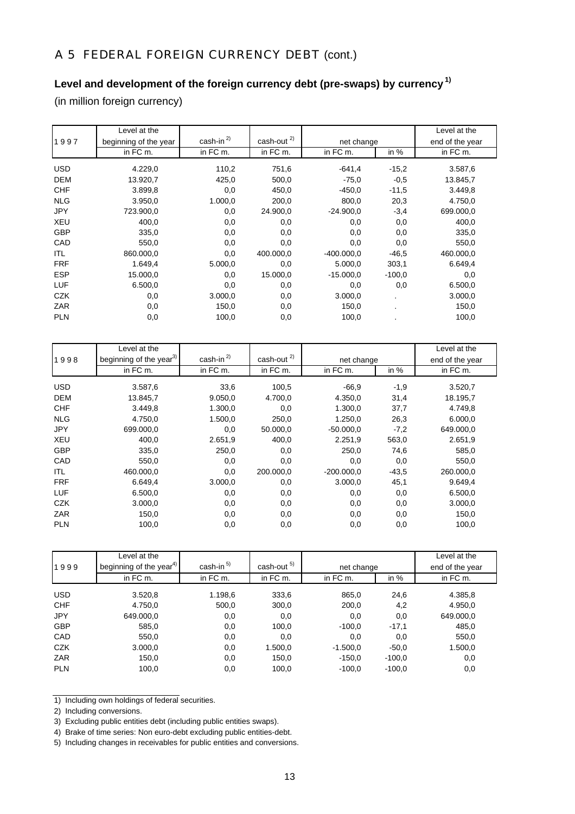# A 5 FEDERAL FOREIGN CURRENCY DEBT (cont.)

# **Level and development of the foreign currency debt (pre-swaps) by currency 1)**

(in million foreign currency)

|            | Level at the          |                 |                  |              |          | Level at the    |
|------------|-----------------------|-----------------|------------------|--------------|----------|-----------------|
| 1997       | beginning of the year | cash-in $^{2)}$ | cash-out $^{2)}$ | net change   |          | end of the year |
|            | in FC m.              | in FC m.        | in FC m.         | in FC m.     | in $%$   | in FC m.        |
| <b>USD</b> | 4.229,0               | 110,2           | 751,6            | $-641,4$     | $-15,2$  | 3.587,6         |
| <b>DEM</b> | 13.920,7              | 425,0           | 500,0            | $-75,0$      | $-0.5$   | 13.845,7        |
| <b>CHF</b> | 3.899,8               | 0,0             | 450,0            | $-450,0$     | $-11,5$  | 3.449,8         |
| <b>NLG</b> | 3.950,0               | 1.000,0         | 200,0            | 800,0        | 20,3     | 4.750,0         |
| <b>JPY</b> | 723.900,0             | 0,0             | 24.900,0         | $-24.900,0$  | $-3,4$   | 699.000,0       |
| <b>XEU</b> | 400,0                 | 0,0             | 0,0              | 0,0          | 0,0      | 400,0           |
| <b>GBP</b> | 335,0                 | 0,0             | 0,0              | 0,0          | 0,0      | 335,0           |
| CAD        | 550,0                 | 0,0             | 0,0              | 0,0          | 0,0      | 550,0           |
| ITL        | 860.000,0             | 0,0             | 400.000,0        | $-400.000,0$ | $-46,5$  | 460.000,0       |
| <b>FRF</b> | 1.649,4               | 5.000,0         | 0,0              | 5.000,0      | 303,1    | 6.649,4         |
| <b>ESP</b> | 15.000,0              | 0,0             | 15.000,0         | $-15.000,0$  | $-100,0$ | 0,0             |
| LUF        | 6.500,0               | 0,0             | 0,0              | 0,0          | 0,0      | 6.500,0         |
| <b>CZK</b> | 0,0                   | 3.000,0         | 0,0              | 3.000,0      |          | 3.000,0         |
| ZAR        | 0,0                   | 150,0           | 0,0              | 150,0        |          | 150,0           |
| <b>PLN</b> | 0,0                   | 100,0           | 0,0              | 100,0        |          | 100,0           |

|            | Level at the                        |                 |              |              |         | Level at the    |
|------------|-------------------------------------|-----------------|--------------|--------------|---------|-----------------|
| 1998       | beginning of the year <sup>3)</sup> | cash-in $^{2)}$ | cash-out $2$ | net change   |         | end of the year |
|            | in FC m.                            | in FC m.        | in FC m.     | in FC m.     | in $%$  | in FC m.        |
| <b>USD</b> | 3.587,6                             | 33,6            | 100,5        | $-66.9$      | $-1,9$  | 3.520,7         |
| <b>DEM</b> | 13.845,7                            | 9.050,0         | 4.700,0      | 4.350,0      | 31,4    | 18.195,7        |
| <b>CHF</b> | 3.449.8                             | 1.300,0         | 0,0          | 1.300.0      | 37,7    | 4.749,8         |
| <b>NLG</b> | 4.750.0                             | 1.500,0         | 250.0        | 1.250.0      | 26,3    | 6.000.0         |
| <b>JPY</b> | 699.000,0                           | 0,0             | 50.000,0     | $-50.000,0$  | $-7,2$  | 649.000,0       |
| <b>XEU</b> | 400,0                               | 2.651,9         | 400,0        | 2.251.9      | 563,0   | 2.651,9         |
| <b>GBP</b> | 335,0                               | 250,0           | 0,0          | 250.0        | 74,6    | 585,0           |
| CAD        | 550,0                               | 0,0             | 0,0          | 0,0          | 0,0     | 550,0           |
| ITL        | 460.000,0                           | 0,0             | 200.000.0    | $-200.000,0$ | $-43,5$ | 260.000,0       |
| <b>FRF</b> | 6.649,4                             | 3.000,0         | 0,0          | 3.000,0      | 45,1    | 9.649,4         |
| LUF        | 6.500,0                             | 0,0             | 0,0          | 0,0          | 0,0     | 6.500,0         |
| <b>CZK</b> | 3.000,0                             | 0,0             | 0,0          | 0,0          | 0,0     | 3.000,0         |
| ZAR        | 150,0                               | 0,0             | 0,0          | 0,0          | 0,0     | 150,0           |
| <b>PLN</b> | 100,0                               | 0,0             | 0,0          | 0,0          | 0,0     | 100,0           |

| 1999       | Level at the<br>beginning of the year <sup>4)</sup> | cash-in $^{5)}$ | cash-out <sup>5)</sup> |            | net change |           |  |
|------------|-----------------------------------------------------|-----------------|------------------------|------------|------------|-----------|--|
|            | in FC m.                                            | in FC m.        | in FC m.               | in FC m.   | in $%$     | in FC m.  |  |
| <b>USD</b> | 3.520,8                                             | 1.198,6         | 333,6                  | 865,0      | 24,6       | 4.385,8   |  |
| <b>CHF</b> | 4.750,0                                             | 500,0           | 300,0                  | 200,0      | 4,2        | 4.950,0   |  |
| <b>JPY</b> | 649.000,0                                           | 0,0             | 0,0                    | 0,0        | 0,0        | 649.000,0 |  |
| <b>GBP</b> | 585,0                                               | 0,0             | 100,0                  | $-100,0$   | $-17,1$    | 485,0     |  |
| CAD        | 550,0                                               | 0,0             | 0,0                    | 0,0        | 0,0        | 550,0     |  |
| <b>CZK</b> | 3.000,0                                             | 0,0             | 1.500,0                | $-1.500,0$ | $-50,0$    | 1.500,0   |  |
| ZAR        | 150,0                                               | 0,0             | 150,0                  | $-150,0$   | $-100.0$   | 0,0       |  |
| <b>PLN</b> | 100,0                                               | 0,0             | 100,0                  | $-100,0$   | $-100,0$   | 0,0       |  |

1) Including own holdings of federal securities.

2) Including conversions.

<sup>3)</sup> Excluding public entities debt (including public entities swaps).

<sup>4)</sup> Brake of time series: Non euro-debt excluding public entities-debt.

<sup>5)</sup> Including changes in receivables for public entities and conversions.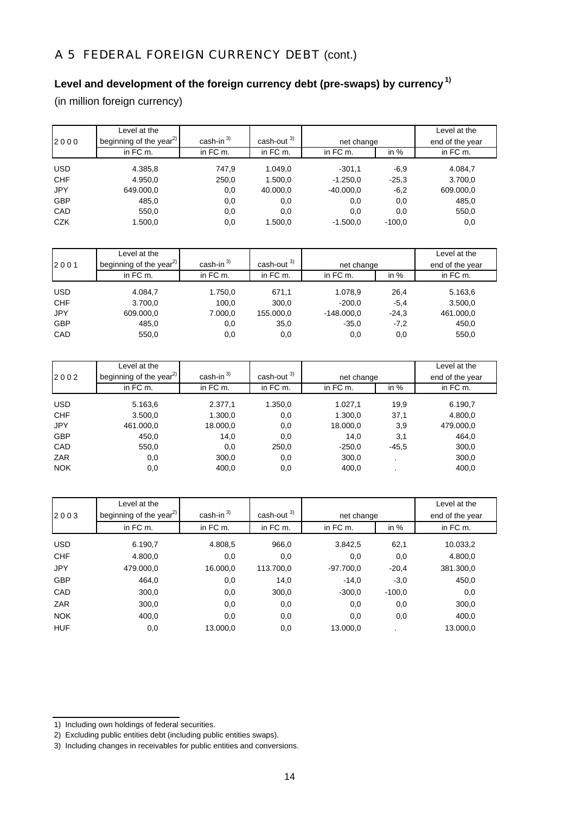# A 5 FEDERAL FOREIGN CURRENCY DEBT (cont.)

## **Level and development of the foreign currency debt (pre-swaps) by currency 1)**

(in million foreign currency)

|            | Level at the                        |                 |                        |             |          | Level at the    |
|------------|-------------------------------------|-----------------|------------------------|-------------|----------|-----------------|
| 2000       | beginning of the year <sup>2)</sup> | cash-in $^{3)}$ | cash-out <sup>3)</sup> | net change  |          | end of the year |
|            | in FC m.                            | in FC m.        | in FC m.               | in FC m.    | in $%$   | in FC m.        |
| USD        | 4.385,8                             | 747,9           | 1.049,0                | $-301.1$    | $-6,9$   | 4.084,7         |
| <b>CHF</b> | 4.950,0                             | 250,0           | 1.500,0                | $-1.250,0$  | $-25.3$  | 3.700,0         |
| <b>JPY</b> | 649.000,0                           | 0,0             | 40.000,0               | $-40.000.0$ | $-6,2$   | 609.000,0       |
| <b>GBP</b> | 485,0                               | 0,0             | 0,0                    | 0,0         | 0,0      | 485,0           |
| CAD        | 550,0                               | 0,0             | 0,0                    | 0.0         | 0,0      | 550,0           |
| <b>CZK</b> | 1.500,0                             | 0,0             | 1.500,0                | $-1.500.0$  | $-100.0$ | 0,0             |

|            | Level at the                        |                 |               |              |         | Level at the    |
|------------|-------------------------------------|-----------------|---------------|--------------|---------|-----------------|
| 2001       | beginning of the year <sup>2)</sup> | cash-in $^{3)}$ | cash-out $3)$ | net change   |         | end of the year |
|            | in FC m.                            | in FC m.        | in FC m.      | in FC m.     | in $%$  | in FC m.        |
| <b>USD</b> | 4.084.7                             | 1.750,0         | 671.1         | 1.078,9      | 26,4    | 5.163,6         |
| <b>CHF</b> | 3.700,0                             | 100,0           | 300,0         | $-200.0$     | $-5.4$  | 3.500,0         |
| <b>JPY</b> | 609.000,0                           | 7.000,0         | 155.000,0     | $-148.000.0$ | $-24.3$ | 461.000,0       |
| <b>GBP</b> | 485,0                               | 0,0             | 35,0          | $-35.0$      | $-7,2$  | 450,0           |
| CAD        | 550,0                               | 0,0             | 0,0           | 0,0          | 0,0     | 550,0           |

|            | Level at the                        |              |                        |            |         | Level at the    |
|------------|-------------------------------------|--------------|------------------------|------------|---------|-----------------|
| 2002       | beginning of the year <sup>2)</sup> | cash-in $3)$ | cash-out <sup>3)</sup> | net change |         | end of the year |
|            | in FC m.                            | in FC m.     | in FC m.               | in FC m.   | in %    | in FC m.        |
| <b>USD</b> | 5.163,6                             | 2.377,1      | 1.350,0                | 1.027,1    | 19,9    | 6.190,7         |
| <b>CHF</b> | 3.500,0                             | 1.300,0      | 0,0                    | 1.300,0    | 37,1    | 4.800,0         |
| <b>JPY</b> | 461.000,0                           | 18.000,0     | 0,0                    | 18.000,0   | 3,9     | 479.000,0       |
| <b>GBP</b> | 450,0                               | 14,0         | 0,0                    | 14.0       | 3,1     | 464,0           |
| CAD        | 550,0                               | 0,0          | 250,0                  | $-250,0$   | $-45,5$ | 300,0           |
| <b>ZAR</b> | 0,0                                 | 300,0        | 0,0                    | 300,0      |         | 300,0           |
| <b>NOK</b> | 0,0                                 | 400,0        | 0,0                    | 400,0      |         | 400,0           |

| 2003       | Level at the<br>beginning of the year <sup>2)</sup> | cash-in $^{3)}$ | cash-out <sup>3)</sup> | net change  |          | Level at the<br>end of the year |
|------------|-----------------------------------------------------|-----------------|------------------------|-------------|----------|---------------------------------|
|            | in FC m.                                            | in FC m.        | in FC m.               | in FC m.    | in $%$   | in FC m.                        |
| <b>USD</b> | 6.190.7                                             | 4.808.5         | 966.0                  | 3.842.5     | 62,1     | 10.033,2                        |
| <b>CHF</b> | 4.800,0                                             | 0,0             | 0,0                    | 0,0         | 0,0      | 4.800,0                         |
| <b>JPY</b> | 479.000,0                                           | 16.000,0        | 113.700.0              | $-97.700.0$ | $-20,4$  | 381.300,0                       |
| <b>GBP</b> | 464.0                                               | 0,0             | 14,0                   | $-14.0$     | $-3,0$   | 450,0                           |
| CAD        | 300,0                                               | 0,0             | 300.0                  | $-300,0$    | $-100.0$ | 0,0                             |
| ZAR        | 300,0                                               | 0,0             | 0,0                    | 0,0         | 0,0      | 300,0                           |
| <b>NOK</b> | 400,0                                               | 0,0             | 0,0                    | 0,0         | 0,0      | 400,0                           |
| <b>HUF</b> | 0,0                                                 | 13.000.0        | 0,0                    | 13,000.0    |          | 13.000.0                        |

- 1) Including own holdings of federal securities.
- 2) Excluding public entities debt (including public entities swaps).

<sup>3)</sup> Including changes in receivables for public entities and conversions.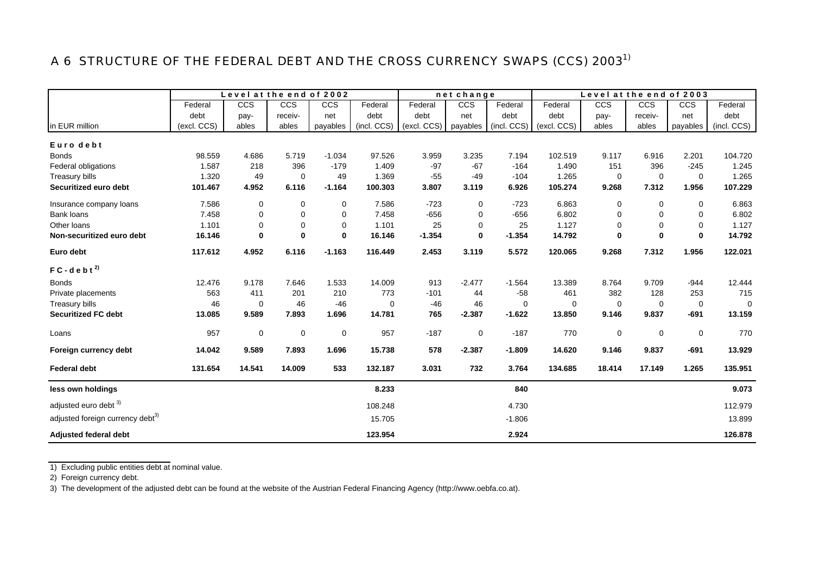# A 6 STRUCTURE OF THE FEDERAL DEBT AND THE CROSS CURRENCY SWAPS (CCS) 2003<sup>1)</sup>

|                                              |             | Level at the end of 2002 |             |              |             |             | net change  |             |             | Level at the end of 2003 |             |                |             |
|----------------------------------------------|-------------|--------------------------|-------------|--------------|-------------|-------------|-------------|-------------|-------------|--------------------------|-------------|----------------|-------------|
|                                              | Federal     | <b>CCS</b>               | <b>CCS</b>  | CCS          | Federal     | Federal     | CCS         | Federal     | Federal     | CCS                      | CCS         | <b>CCS</b>     | Federal     |
|                                              | debt        | pay-                     | receiv-     | net          | debt        | debt        | net         | debt        | debt        | pay-                     | receiv-     | net            | debt        |
| in EUR million                               | (excl. CCS) | ables                    | ables       | payables     | (incl. CCS) | (excl. CCS) | payables    | (incl. CCS) | (excl. CCS) | ables                    | ables       | payables       | (incl. CCS) |
| Euro debt                                    |             |                          |             |              |             |             |             |             |             |                          |             |                |             |
| <b>Bonds</b>                                 | 98.559      | 4.686                    | 5.719       | $-1.034$     | 97.526      | 3.959       | 3.235       | 7.194       | 102.519     | 9.117                    | 6.916       | 2.201          | 104.720     |
| Federal obligations                          | 1.587       | 218                      | 396         | $-179$       | 1.409       | $-97$       | $-67$       | $-164$      | 1.490       | 151                      | 396         | $-245$         | 1.245       |
| <b>Treasury bills</b>                        | 1.320       | 49                       | 0           | 49           | 1.369       | $-55$       | $-49$       | $-104$      | 1.265       | 0                        | $\mathbf 0$ | $\mathbf 0$    | 1.265       |
| Securitized euro debt                        | 101.467     | 4.952                    | 6.116       | $-1.164$     | 100.303     | 3.807       | 3.119       | 6.926       | 105.274     | 9.268                    | 7.312       | 1.956          | 107.229     |
| Insurance company loans                      | 7.586       | 0                        | 0           | $\mathbf 0$  | 7.586       | $-723$      | $\mathbf 0$ | $-723$      | 6.863       | $\mathbf 0$              | $\mathbf 0$ | 0              | 6.863       |
| Bank loans                                   | 7.458       | 0                        | 0           | $\Omega$     | 7.458       | $-656$      | 0           | $-656$      | 6.802       | 0                        | $\mathbf 0$ | $\Omega$       | 6.802       |
| Other loans                                  | 1.101       | 0                        | $\mathbf 0$ | $\mathbf 0$  | 1.101       | 25          | 0           | 25          | 1.127       | $\mathbf 0$              | $\mathbf 0$ | $\mathbf 0$    | 1.127       |
| Non-securitized euro debt                    | 16.146      | $\bf{0}$                 | $\bf{0}$    | $\mathbf{0}$ | 16.146      | $-1.354$    | $\mathbf 0$ | $-1.354$    | 14.792      | $\bf{0}$                 | $\mathbf 0$ | $\mathbf 0$    | 14.792      |
| Euro debt                                    | 117.612     | 4.952                    | 6.116       | $-1.163$     | 116.449     | 2.453       | 3.119       | 5.572       | 120.065     | 9.268                    | 7.312       | 1.956          | 122.021     |
| $FC - d e b t^{2}$                           |             |                          |             |              |             |             |             |             |             |                          |             |                |             |
| <b>Bonds</b>                                 | 12.476      | 9.178                    | 7.646       | 1.533        | 14.009      | 913         | $-2.477$    | $-1.564$    | 13.389      | 8.764                    | 9.709       | $-944$         | 12.444      |
| Private placements                           | 563         | 411                      | 201         | 210          | 773         | $-101$      | 44          | $-58$       | 461         | 382                      | 128         | 253            | 715         |
| Treasury bills                               | 46          | $\mathbf 0$              | 46          | $-46$        | $\mathbf 0$ | $-46$       | 46          | $\mathbf 0$ | $\mathbf 0$ | $\mathbf 0$              | $\mathbf 0$ | $\overline{0}$ | 0           |
| <b>Securitized FC debt</b>                   | 13.085      | 9.589                    | 7.893       | 1.696        | 14.781      | 765         | $-2.387$    | $-1.622$    | 13.850      | 9.146                    | 9.837       | $-691$         | 13.159      |
| Loans                                        | 957         | $\mathbf 0$              | 0           | $\mathbf 0$  | 957         | $-187$      | 0           | $-187$      | 770         | 0                        | 0           | 0              | 770         |
| Foreign currency debt                        | 14.042      | 9.589                    | 7.893       | 1.696        | 15.738      | 578         | $-2.387$    | $-1.809$    | 14.620      | 9.146                    | 9.837       | $-691$         | 13.929      |
| <b>Federal debt</b>                          | 131.654     | 14.541                   | 14.009      | 533          | 132.187     | 3.031       | 732         | 3.764       | 134.685     | 18.414                   | 17.149      | 1.265          | 135.951     |
| less own holdings                            |             |                          |             |              | 8.233       |             |             | 840         |             |                          |             |                | 9.073       |
| adjusted euro debt 3)                        |             |                          |             |              | 108.248     |             |             | 4.730       |             |                          |             |                | 112.979     |
| adjusted foreign currency debt <sup>3)</sup> |             |                          |             |              | 15.705      |             |             | $-1.806$    |             |                          |             |                | 13.899      |
|                                              |             |                          |             |              |             |             |             |             |             |                          |             |                |             |
| <b>Adjusted federal debt</b>                 |             |                          |             |              | 123.954     |             |             | 2.924       |             |                          |             |                | 126.878     |

1) Excluding public entities debt at nominal value.

2) Foreign currency debt.

3) The development of the adjusted debt can be found at the website of the Austrian Federal Financing Agency (http://www.oebfa.co.at).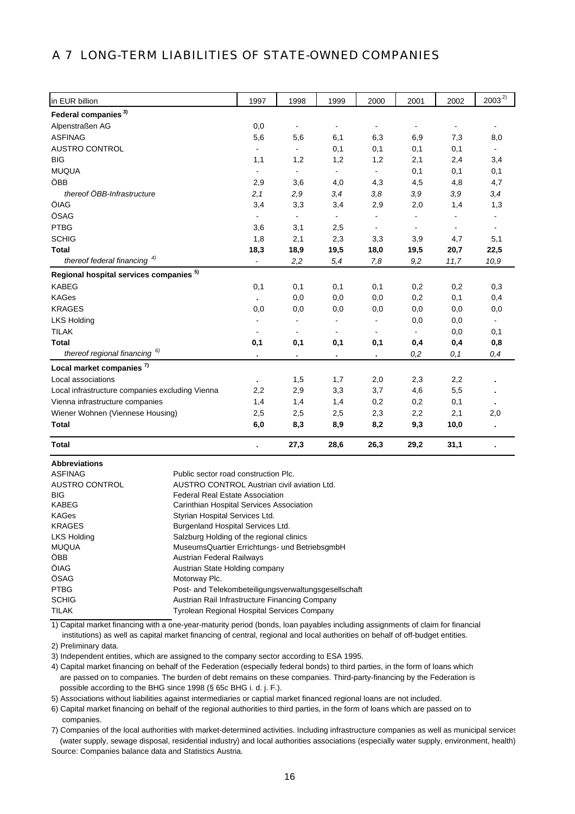## A 7 LONG-TERM LIABILITIES OF STATE-OWNED COMPANIES

| in EUR billion                                  | 1997           | 1998           | 1999                     | 2000           | 2001           | 2002           | $2003^{2}$     |
|-------------------------------------------------|----------------|----------------|--------------------------|----------------|----------------|----------------|----------------|
| Federal companies <sup>3)</sup>                 |                |                |                          |                |                |                |                |
| Alpenstraßen AG                                 | 0,0            | $\blacksquare$ | $\blacksquare$           | $\blacksquare$ |                | $\blacksquare$ |                |
| <b>ASFINAG</b>                                  | 5,6            | 5,6            | 6,1                      | 6,3            | 6,9            | 7,3            | 8,0            |
| <b>AUSTRO CONTROL</b>                           | $\blacksquare$ | $\blacksquare$ | 0,1                      | 0,1            | 0,1            | 0,1            |                |
| <b>BIG</b>                                      | 1,1            | 1,2            | 1,2                      | 1,2            | 2,1            | 2,4            | 3,4            |
| <b>MUQUA</b>                                    | $\blacksquare$ | $\blacksquare$ | $\blacksquare$           | $\blacksquare$ | 0,1            | 0,1            | 0,1            |
| ÖBB                                             | 2,9            | 3,6            | 4,0                      | 4,3            | 4,5            | 4,8            | 4,7            |
| thereof ÖBB-Infrastructure                      | 2,1            | 2,9            | 3,4                      | 3,8            | 3,9            | 3,9            | 3,4            |
| ÖIAG                                            | 3,4            | 3,3            | 3,4                      | 2,9            | 2,0            | 1,4            | 1,3            |
| ÖSAG                                            | $\blacksquare$ | $\blacksquare$ | $\blacksquare$           | $\blacksquare$ | $\blacksquare$ | $\blacksquare$ |                |
| <b>PTBG</b>                                     | 3,6            | 3,1            | 2,5                      | $\blacksquare$ | $\blacksquare$ | $\blacksquare$ | $\overline{a}$ |
| <b>SCHIG</b>                                    | 1,8            | 2,1            | 2,3                      | 3,3            | 3,9            | 4,7            | 5,1            |
| <b>Total</b>                                    | 18,3           | 18,9           | 19,5                     | 18,0           | 19,5           | 20,7           | 22,5           |
| thereof federal financing $4$                   |                | 2,2            | 5,4                      | 7,8            | 9,2            | 11,7           | 10,9           |
| Regional hospital services companies 5)         |                |                |                          |                |                |                |                |
| <b>KABEG</b>                                    | 0,1            | 0,1            | 0,1                      | 0,1            | 0,2            | 0,2            | 0,3            |
| <b>KAGes</b>                                    |                | 0,0            | 0,0                      | 0,0            | 0,2            | 0,1            | 0,4            |
| <b>KRAGES</b>                                   | 0,0            | 0,0            | 0,0                      | 0,0            | 0,0            | 0,0            | 0,0            |
| <b>LKS Holding</b>                              |                |                |                          |                | 0,0            | 0,0            |                |
| <b>TILAK</b>                                    |                |                | $\overline{\phantom{a}}$ |                |                | 0,0            | 0,1            |
| <b>Total</b>                                    | 0,1            | 0,1            | 0,1                      | 0,1            | 0,4            | 0,4            | 0,8            |
| thereof regional financing <sup>6)</sup>        | $\blacksquare$ | $\blacksquare$ | $\blacksquare$           | $\blacksquare$ | 0,2            | 0,1            | 0,4            |
| Local market companies <sup>7)</sup>            |                |                |                          |                |                |                |                |
| Local associations                              |                | 1,5            | 1,7                      | 2,0            | 2,3            | 2,2            |                |
| Local infrastructure companies excluding Vienna | 2,2            | 2,9            | 3,3                      | 3,7            | 4,6            | 5,5            |                |
| Vienna infrastructure companies                 | 1,4            | 1,4            | 1,4                      | 0,2            | 0,2            | 0,1            |                |
| Wiener Wohnen (Viennese Housing)                | 2,5            | 2,5            | 2,5                      | 2,3            | 2,2            | 2,1            | 2,0            |
| <b>Total</b>                                    | 6,0            | 8,3            | 8,9                      | 8,2            | 9,3            | 10,0           |                |
| <b>Total</b>                                    |                | 27,3           | 28,6                     | 26,3           | 29,2           | 31,1           |                |

**Abbreviations**

| <b>ASFINAG</b>     | Public sector road construction Plc.                 |
|--------------------|------------------------------------------------------|
| AUSTRO CONTROL     | AUSTRO CONTROL Austrian civil aviation Ltd.          |
| <b>BIG</b>         | <b>Federal Real Estate Association</b>               |
| KABEG              | Carinthian Hospital Services Association             |
| KAGes              | Styrian Hospital Services Ltd.                       |
| <b>KRAGES</b>      | Burgenland Hospital Services Ltd.                    |
| <b>LKS Holding</b> | Salzburg Holding of the regional clinics             |
| <b>MUQUA</b>       | MuseumsQuartier Errichtungs- und BetriebsgmbH        |
| ÖBB                | <b>Austrian Federal Railways</b>                     |
| ÖIAG               | Austrian State Holding company                       |
| ÖSAG               | Motorway Plc.                                        |
| <b>PTBG</b>        | Post- and Telekombeteiligungsverwaltungsgesellschaft |
| <b>SCHIG</b>       | Austrian Rail Infrastructure Financing Company       |
| <b>TILAK</b>       | Tyrolean Regional Hospital Services Company          |

 institutions) as well as capital market financing of central, regional and local authorities on behalf of off-budget entities. 1) Capital market financing with a one-year-maturity period (bonds, loan payables including assignments of claim for financial

2) Preliminary data.

3) Independent entities, which are assigned to the company sector according to ESA 1995.

4) Capital market financing on behalf of the Federation (especially federal bonds) to third parties, in the form of loans which are passed on to companies. The burden of debt remains on these companies. Third-party-financing by the Federation is possible according to the BHG since 1998 (§ 65c BHG i. d. j. F.).

5) Associations without liabilities against intermediaries or captial market financed regional loans are not included.

6) Capital market financing on behalf of the regional authorities to third parties, in the form of loans which are passed on to companies.

7) Companies of the local authorities with market-determined activities. Including infrastructure companies as well as municipal services (water supply, sewage disposal, residential industry) and local authorities associations (especially water supply, environment, health) Source: Companies balance data and Statistics Austria.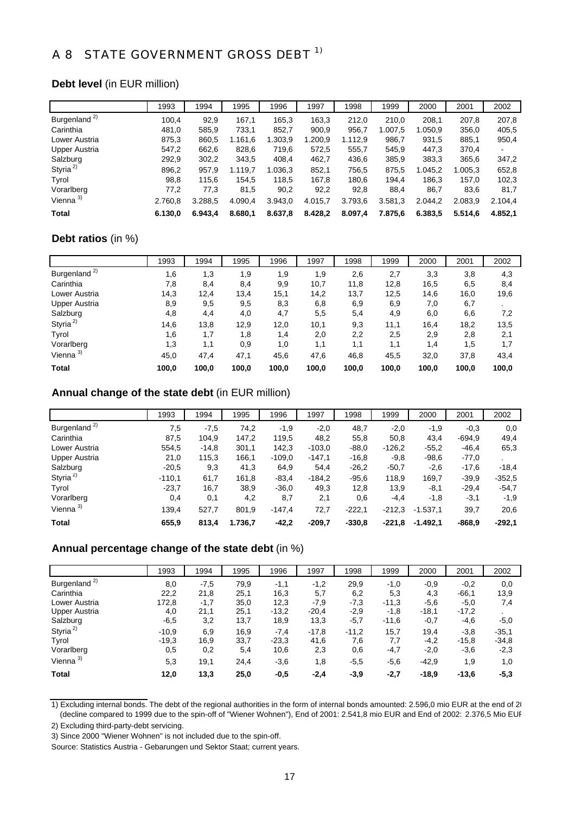# A 8 STATE GOVERNMENT GROSS DEBT <sup>1)</sup>

#### **Debt level** (in EUR million)

|                          | 1993    | 1994    | 1995    | 1996    | 1997    | 1998    | 1999    | 2000    | 2001    | 2002    |
|--------------------------|---------|---------|---------|---------|---------|---------|---------|---------|---------|---------|
| Burgenland <sup>2)</sup> | 100,4   | 92,9    | 167,1   | 165.3   | 163,3   | 212,0   | 210,0   | 208.1   | 207,8   | 207,8   |
| Carinthia                | 481,0   | 585.9   | 733,1   | 852,7   | 900,9   | 956,7   | 1.007,5 | 1.050,9 | 356,0   | 405,5   |
| Lower Austria            | 875,3   | 860,5   | 1.161,6 | 1.303,9 | 1.200,9 | 1.112,9 | 986,7   | 931,5   | 885,1   | 950,4   |
| Upper Austria            | 547,2   | 662,6   | 828,6   | 719,6   | 572,5   | 555.7   | 545,9   | 447,3   | 370,4   | ۰       |
| Salzburg                 | 292,9   | 302,2   | 343,5   | 408,4   | 462,7   | 436,6   | 385,9   | 383,3   | 365,6   | 347,2   |
| Styria <sup>2)</sup>     | 896,2   | 957,9   | 1.119.7 | 1.036.3 | 852.1   | 756.5   | 875,5   | 1.045.2 | 1.005.3 | 652,8   |
| Tyrol                    | 98,8    | 115,6   | 154,5   | 118,5   | 167,8   | 180.6   | 194.4   | 186.3   | 157.0   | 102,3   |
| Vorarlberg               | 77,2    | 77,3    | 81,5    | 90,2    | 92,2    | 92,8    | 88,4    | 86,7    | 83,6    | 81,7    |
| Vienna <sup>3)</sup>     | 2.760,8 | 3.288,5 | 4.090,4 | 3.943,0 | 4.015,7 | 3.793,6 | 3.581,3 | 2.044,2 | 2.083,9 | 2.104,4 |
| Total                    | 6.130,0 | 6.943.4 | 8.680,1 | 8.637,8 | 8.428,2 | 8.097,4 | 7.875,6 | 6.383,5 | 5.514,6 | 4.852.1 |

#### **Debt ratios** (in %)

|                          | 1993  | 1994  | 1995  | 1996  | 1997  | 1998  | 1999  | 2000  | 2001  | 2002  |
|--------------------------|-------|-------|-------|-------|-------|-------|-------|-------|-------|-------|
| Burgenland <sup>2)</sup> | 1,6   | 1,3   | 1,9   | 9, ا  | 1,9   | 2,6   | 2,7   | 3,3   | 3,8   | 4,3   |
| Carinthia                | 7,8   | 8,4   | 8,4   | 9,9   | 10,7  | 11,8  | 12,8  | 16,5  | 6,5   | 8,4   |
| Lower Austria            | 14,3  | 12,4  | 13,4  | 15,1  | 14,2  | 13,7  | 12,5  | 14,6  | 16,0  | 19,6  |
| <b>Upper Austria</b>     | 8,9   | 9,5   | 9,5   | 8,3   | 6,8   | 6,9   | 6,9   | 7,0   | 6,7   |       |
| Salzburg                 | 4,8   | 4,4   | 4,0   | 4,7   | 5,5   | 5,4   | 4,9   | 6,0   | 6,6   | 7,2   |
| Styria <sup>2)</sup>     | 14,6  | 13,8  | 12,9  | 12,0  | 10,1  | 9,3   | 11,1  | 16,4  | 18,2  | 13,5  |
| Tyrol                    | 1,6   | 1,7   | 1,8   | 1,4   | 2,0   | 2,2   | 2,5   | 2,9   | 2,8   | 2,1   |
| Vorarlberg               | 1,3   | 1,1   | 0,9   | 1,0   | 1,1   | 1,1   | 1,1   | 1,4   | 1,5   | 1,7   |
| Vienna $3)$              | 45,0  | 47,4  | 47,1  | 45,6  | 47,6  | 46,8  | 45,5  | 32,0  | 37,8  | 43,4  |
| <b>Total</b>             | 100,0 | 100,0 | 100,0 | 100,0 | 100,0 | 100,0 | 100,0 | 100,0 | 100.0 | 100,0 |

### **Annual change of the state debt** (in EUR million)

|                          | 1993     | 1994    | 1995    | 1996     | 1997     | 1998     | 1999     | 2000       | 2001     | 2002     |
|--------------------------|----------|---------|---------|----------|----------|----------|----------|------------|----------|----------|
| Burgenland <sup>2)</sup> | 7,5      | $-7,5$  | 74,2    | $-1,9$   | $-2,0$   | 48,7     | $-2,0$   | $-1,9$     | $-0.3$   | 0,0      |
| Carinthia                | 87,5     | 104,9   | 147,2   | 119,5    | 48,2     | 55,8     | 50,8     | 43,4       | $-694.9$ | 49,4     |
| Lower Austria            | 554,5    | $-14,8$ | 301,1   | 142,3    | $-103,0$ | $-88.0$  | $-126.2$ | $-55,2$    | $-46,4$  | 65,3     |
| Upper Austria            | 21,0     | 115,3   | 166,1   | $-109.0$ | $-147,1$ | $-16,8$  | $-9,8$   | $-98,6$    | $-77,0$  |          |
| Salzburg                 | $-20.5$  | 9,3     | 41,3    | 64,9     | 54,4     | $-26,2$  | $-50,7$  | $-2,6$     | $-17,6$  | $-18,4$  |
| Styria <sup>2)</sup>     | $-110,1$ | 61,7    | 161,8   | $-83,4$  | $-184.2$ | $-95,6$  | 118.9    | 169.7      | $-39.9$  | $-352.5$ |
| Tyrol                    | $-23.7$  | 16,7    | 38,9    | $-36,0$  | 49,3     | 12,8     | 13,9     | $-8,1$     | $-29.4$  | $-54.7$  |
| Vorarlberg               | 0,4      | 0,1     | 4,2     | 8,7      | 2,1      | 0,6      | $-4,4$   | $-1,8$     | $-3,1$   | $-1,9$   |
| Vienna $3)$              | 139,4    | 527,7   | 801,9   | $-147,4$ | 72,7     | $-222.1$ | $-212.3$ | $-1.537,1$ | 39,7     | 20,6     |
| Total                    | 655,9    | 813,4   | 1.736,7 | $-42,2$  | $-209.7$ | $-330.8$ | $-221.8$ | $-1.492,1$ | $-868.9$ | $-292,1$ |

### **Annual percentage change of the state debt** (in %)

|                          | 1993    | 1994   | 1995 | 1996    | 1997    | 1998    | 1999    | 2000    | 2001    | 2002    |
|--------------------------|---------|--------|------|---------|---------|---------|---------|---------|---------|---------|
| Burgenland <sup>2)</sup> | 8,0     | $-7,5$ | 79,9 | $-1,1$  | $-1,2$  | 29,9    | $-1,0$  | $-0.9$  | $-0,2$  | 0,0     |
| Carinthia                | 22,2    | 21,8   | 25,1 | 16,3    | 5,7     | 6,2     | 5,3     | 4,3     | $-66,1$ | 13,9    |
| Lower Austria            | 172,8   | $-1,7$ | 35,0 | 12,3    | $-7,9$  | $-7,3$  | $-11,3$ | $-5,6$  | $-5,0$  | 7,4     |
| Upper Austria            | 4,0     | 21,1   | 25,1 | $-13.2$ | $-20,4$ | $-2,9$  | $-1,8$  | $-18,1$ | $-17,2$ |         |
| Salzburg                 | $-6,5$  | 3,2    | 13,7 | 18,9    | 13,3    | $-5,7$  | $-11,6$ | $-0,7$  | $-4,6$  | $-5,0$  |
| Styria <sup>2)</sup>     | $-10.9$ | 6,9    | 16,9 | $-7,4$  | $-17,8$ | $-11,2$ | 15,7    | 19,4    | $-3,8$  | $-35.1$ |
| Tyrol                    | $-19.3$ | 16,9   | 33,7 | $-23.3$ | 41,6    | 7,6     | 7,7     | $-4,2$  | $-15,8$ | $-34,8$ |
| Vorarlberg               | 0,5     | 0,2    | 5,4  | 10,6    | 2,3     | 0,6     | -4,7    | $-2,0$  | $-3,6$  | $-2,3$  |
| Vienna <sup>3)</sup>     | 5,3     | 19,1   | 24,4 | $-3,6$  | 1,8     | $-5,5$  | $-5,6$  | $-42.9$ | 1,9     | 1,0     |
| <b>Total</b>             | 12,0    | 13,3   | 25,0 | $-0,5$  | $-2,4$  | $-3,9$  | $-2,7$  | $-18,9$ | $-13,6$ | $-5,3$  |

1) Excluding internal bonds. The debt of the regional authorities in the form of internal bonds amounted: 2.596,0 mio EUR at the end of 20 (decline compared to 1999 due to the spin-off of "Wiener Wohnen"), End of 2001: 2.541,8 mio EUR and End of 2002: 2.376,5 Mio EUR

2) Excluding third-party-debt servicing.

3) Since 2000 "Wiener Wohnen" is not included due to the spin-off.

Source: Statistics Austria - Gebarungen und Sektor Staat; current years.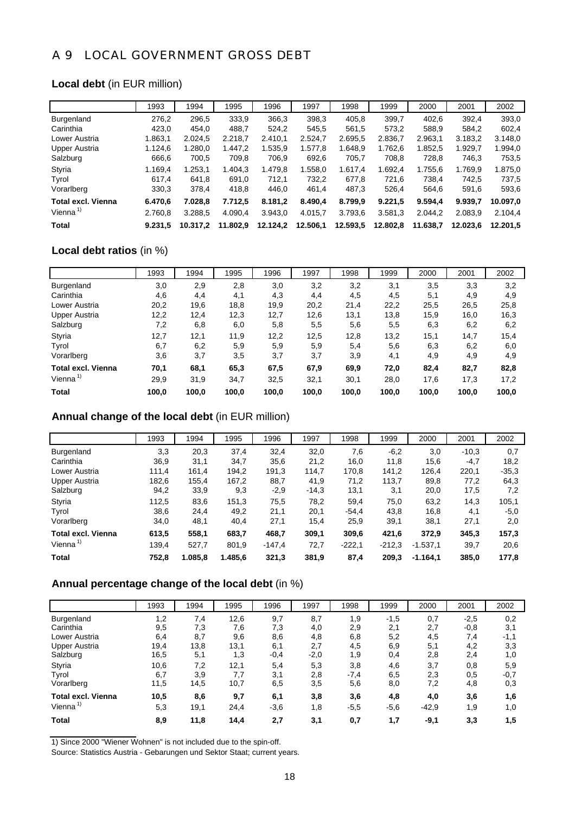## A 9 LOCAL GOVERNMENT GROSS DEBT

#### **Local debt** (in EUR million)

|                           | 1993    | 1994     | 1995     | 1996     | 1997     | 1998     | 1999     | 2000     | 2001     | 2002     |
|---------------------------|---------|----------|----------|----------|----------|----------|----------|----------|----------|----------|
| Burgenland                | 276.2   | 296.5    | 333.9    | 366.3    | 398.3    | 405.8    | 399.7    | 402.6    | 392.4    | 393,0    |
| Carinthia                 | 423.0   | 454.0    | 488.7    | 524.2    | 545.5    | 561.5    | 573.2    | 588.9    | 584.2    | 602,4    |
| Lower Austria             | 1.863.1 | 2.024.5  | 2.218.7  | 2.410.1  | 2.524.7  | 2.695.5  | 2.836.7  | 2.963.1  | 3.183.2  | 3.148.0  |
| Upper Austria             | 1.124.6 | 1.280.0  | 1.447.2  | 1.535.9  | 1.577,8  | 1.648.9  | 1.762.6  | 1.852.5  | 1.929.7  | 1.994,0  |
| Salzburg                  | 666.6   | 700,5    | 709,8    | 706.9    | 692.6    | 705.7    | 708.8    | 728.8    | 746.3    | 753,5    |
| Styria                    | 1.169.4 | 1.253.1  | 1.404.3  | 1.479.8  | 1.558.0  | 1.617.4  | 1.692.4  | 1.755.6  | 1.769.9  | 1.875,0  |
| Tyrol                     | 617.4   | 641,8    | 691.0    | 712.1    | 732.2    | 677.8    | 721.6    | 738.4    | 742.5    | 737.5    |
| Vorarlberg                | 330.3   | 378,4    | 418,8    | 446,0    | 461.4    | 487.3    | 526.4    | 564.6    | 591.6    | 593,6    |
| <b>Total excl. Vienna</b> | 6.470,6 | 7.028.8  | 7.712,5  | 8.181,2  | 8.490,4  | 8.799,9  | 9.221,5  | 9.594.4  | 9.939.7  | 10.097,0 |
| Vienna $1$                | 2.760.8 | 3.288.5  | 4.090.4  | 3.943.0  | 4.015.7  | 3.793.6  | 3.581.3  | 2.044.2  | 2.083.9  | 2.104.4  |
| Total                     | 9.231.5 | 10.317.2 | 11.802.9 | 12.124.2 | 12.506,1 | 12.593,5 | 12.802.8 | 11.638.7 | 12.023.6 | 12.201.5 |

## **Local debt ratios** (in %)

|                           | 1993  | 1994  | 1995  | 1996  | 1997  | 1998  | 1999  | 2000  | 2001  | 2002  |
|---------------------------|-------|-------|-------|-------|-------|-------|-------|-------|-------|-------|
| Burgenland                | 3,0   | 2,9   | 2,8   | 3,0   | 3,2   | 3,2   | 3,1   | 3,5   | 3,3   | 3,2   |
| Carinthia                 | 4,6   | 4,4   | 4,1   | 4,3   | 4,4   | 4,5   | 4,5   | 5,1   | 4,9   | 4,9   |
| Lower Austria             | 20,2  | 19,6  | 18,8  | 19,9  | 20,2  | 21,4  | 22,2  | 25,5  | 26,5  | 25,8  |
| Upper Austria             | 12,2  | 12,4  | 12,3  | 12,7  | 12,6  | 13,1  | 13,8  | 15,9  | 16,0  | 16,3  |
| Salzburg                  | 7,2   | 6,8   | 6,0   | 5,8   | 5,5   | 5,6   | 5,5   | 6,3   | 6,2   | 6,2   |
| Styria                    | 12,7  | 12,1  | 11,9  | 12,2  | 12,5  | 12,8  | 13,2  | 15,1  | 14,7  | 15,4  |
| Tyrol                     | 6,7   | 6,2   | 5,9   | 5,9   | 5,9   | 5,4   | 5,6   | 6,3   | 6,2   | 6,0   |
| Vorarlberg                | 3,6   | 3,7   | 3,5   | 3,7   | 3,7   | 3,9   | 4,1   | 4,9   | 4,9   | 4,9   |
| <b>Total excl. Vienna</b> | 70,1  | 68,1  | 65,3  | 67,5  | 67,9  | 69,9  | 72,0  | 82,4  | 82,7  | 82,8  |
| Vienna <sup>1)</sup>      | 29,9  | 31,9  | 34,7  | 32,5  | 32,1  | 30,1  | 28,0  | 17,6  | 17,3  | 17,2  |
| Total                     | 100.0 | 100.0 | 100,0 | 100,0 | 100,0 | 100,0 | 100,0 | 100,0 | 100,0 | 100.0 |

### **Annual change of the local debt** (in EUR million)

|                           | 1993  | 1994    | 1995    | 1996     | 1997    | 1998     | 1999     | 2000       | 2001    | 2002    |
|---------------------------|-------|---------|---------|----------|---------|----------|----------|------------|---------|---------|
| <b>Burgenland</b>         | 3,3   | 20,3    | 37,4    | 32,4     | 32,0    | 7,6      | $-6,2$   | 3,0        | $-10.3$ | 0,7     |
| Carinthia                 | 36,9  | 31,1    | 34,7    | 35,6     | 21,2    | 16,0     | 11,8     | 15,6       | $-4,7$  | 18,2    |
| Lower Austria             | 111.4 | 161.4   | 194,2   | 191,3    | 114.7   | 170,8    | 141.2    | 126.4      | 220,1   | $-35,3$ |
| Upper Austria             | 182,6 | 155,4   | 167,2   | 88,7     | 41,9    | 71,2     | 113,7    | 89,8       | 77,2    | 64,3    |
| Salzburg                  | 94,2  | 33,9    | 9,3     | $-2,9$   | $-14,3$ | 13,1     | 3,1      | 20,0       | 17,5    | 7,2     |
| Styria                    | 112.5 | 83,6    | 151,3   | 75,5     | 78,2    | 59.4     | 75,0     | 63.2       | 14.3    | 105.1   |
| Tyrol                     | 38,6  | 24.4    | 49,2    | 21,1     | 20,1    | $-54.4$  | 43,8     | 16,8       | 4,1     | $-5,0$  |
| Vorarlberg                | 34,0  | 48,1    | 40,4    | 27,1     | 15,4    | 25,9     | 39,1     | 38,1       | 27,1    | 2,0     |
| <b>Total excl. Vienna</b> | 613,5 | 558,1   | 683,7   | 468,7    | 309,1   | 309,6    | 421,6    | 372,9      | 345,3   | 157,3   |
| Vienna $1$                | 139,4 | 527,7   | 801,9   | $-147,4$ | 72,7    | $-222.1$ | $-212.3$ | $-1.537,1$ | 39,7    | 20,6    |
| Total                     | 752.8 | 1.085.8 | 1.485,6 | 321,3    | 381.9   | 87,4     | 209,3    | $-1.164.1$ | 385.0   | 177.8   |

### **Annual percentage change of the local debt** (in %)

|                           | 1993 | 1994 | 1995 | 1996   | 1997   | 1998   | 1999   | 2000    | 2001   | 2002   |
|---------------------------|------|------|------|--------|--------|--------|--------|---------|--------|--------|
| Burgenland                | 1,2  | 7,4  | 12,6 | 9,7    | 8,7    | 1,9    | $-1,5$ | 0,7     | $-2,5$ | 0,2    |
| Carinthia                 | 9,5  | 7,3  | 7,6  | 7,3    | 4,0    | 2,9    | 2,1    | 2,7     | $-0,8$ | 3,1    |
| Lower Austria             | 6,4  | 8,7  | 9,6  | 8,6    | 4,8    | 6,8    | 5,2    | 4,5     | 7,4    | $-1,1$ |
| <b>Upper Austria</b>      | 19,4 | 13,8 | 13,1 | 6,1    | 2,7    | 4,5    | 6,9    | 5,1     | 4,2    | 3,3    |
| Salzburg                  | 16,5 | 5,1  | 1,3  | $-0,4$ | $-2,0$ | 1,9    | 0,4    | 2,8     | 2,4    | 1,0    |
| Styria                    | 10,6 | 7,2  | 12,1 | 5,4    | 5,3    | 3,8    | 4,6    | 3,7     | 0,8    | 5,9    |
| Tyrol                     | 6,7  | 3,9  | 7,7  | 3,1    | 2,8    | $-7,4$ | 6,5    | 2,3     | 0,5    | $-0,7$ |
| Vorarlberg                | 11,5 | 14,5 | 10,7 | 6,5    | 3,5    | 5,6    | 8,0    | 7,2     | 4,8    | 0,3    |
| <b>Total excl. Vienna</b> | 10,5 | 8,6  | 9,7  | 6,1    | 3,8    | 3,6    | 4,8    | 4,0     | 3,6    | 1,6    |
| Vienna <sup>1)</sup>      | 5,3  | 19,1 | 24,4 | $-3,6$ | 1,8    | $-5,5$ | $-5,6$ | $-42.9$ | 1,9    | 1,0    |
| <b>Total</b>              | 8,9  | 11,8 | 14,4 | 2,7    | 3,1    | 0,7    | 1,7    | $-9,1$  | 3,3    | 1,5    |

1) Since 2000 "Wiener Wohnen" is not included due to the spin-off.

Source: Statistics Austria - Gebarungen und Sektor Staat; current years.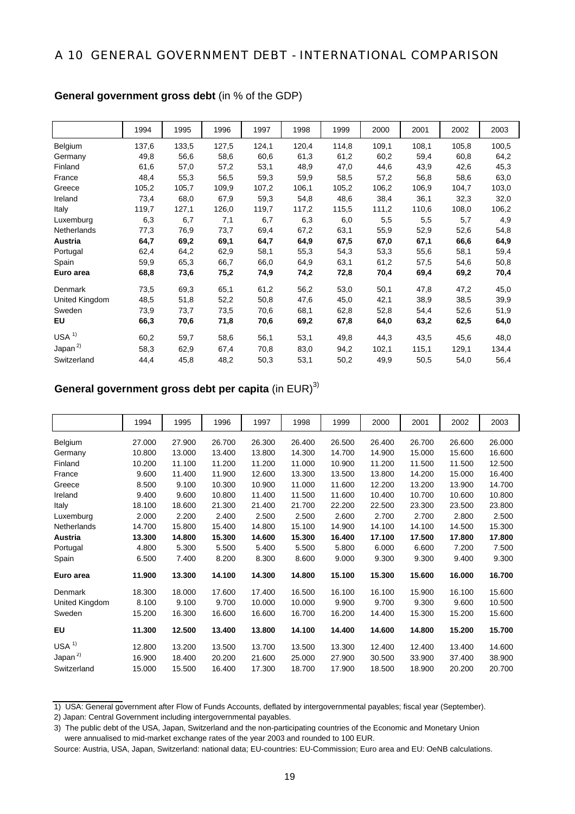### A 10 GENERAL GOVERNMENT DEBT - INTERNATIONAL COMPARISON

|                  | 1994  | 1995  | 1996  | 1997  | 1998  | 1999  | 2000  | 2001  | 2002  | 2003  |
|------------------|-------|-------|-------|-------|-------|-------|-------|-------|-------|-------|
| Belgium          | 137,6 | 133,5 | 127,5 | 124,1 | 120,4 | 114,8 | 109,1 | 108,1 | 105,8 | 100,5 |
| Germany          | 49,8  | 56,6  | 58,6  | 60,6  | 61,3  | 61,2  | 60,2  | 59,4  | 60,8  | 64,2  |
| Finland          | 61,6  | 57,0  | 57,2  | 53,1  | 48,9  | 47,0  | 44,6  | 43,9  | 42,6  | 45,3  |
| France           | 48,4  | 55,3  | 56,5  | 59,3  | 59,9  | 58,5  | 57,2  | 56,8  | 58,6  | 63,0  |
| Greece           | 105,2 | 105,7 | 109,9 | 107,2 | 106,1 | 105,2 | 106,2 | 106,9 | 104,7 | 103,0 |
| Ireland          | 73,4  | 68,0  | 67,9  | 59,3  | 54,8  | 48,6  | 38,4  | 36,1  | 32,3  | 32,0  |
| Italy            | 119,7 | 127,1 | 126,0 | 119,7 | 117,2 | 115,5 | 111,2 | 110,6 | 108,0 | 106,2 |
| Luxemburg        | 6,3   | 6,7   | 7,1   | 6,7   | 6,3   | 6,0   | 5,5   | 5,5   | 5,7   | 4,9   |
| Netherlands      | 77,3  | 76,9  | 73,7  | 69,4  | 67,2  | 63,1  | 55,9  | 52,9  | 52,6  | 54,8  |
| Austria          | 64,7  | 69,2  | 69,1  | 64,7  | 64,9  | 67,5  | 67,0  | 67,1  | 66,6  | 64,9  |
| Portugal         | 62,4  | 64,2  | 62,9  | 58,1  | 55,3  | 54,3  | 53,3  | 55,6  | 58,1  | 59,4  |
| Spain            | 59,9  | 65,3  | 66,7  | 66,0  | 64,9  | 63,1  | 61,2  | 57,5  | 54,6  | 50,8  |
| Euro area        | 68,8  | 73,6  | 75,2  | 74,9  | 74,2  | 72,8  | 70,4  | 69,4  | 69,2  | 70,4  |
| Denmark          | 73,5  | 69,3  | 65,1  | 61,2  | 56,2  | 53,0  | 50,1  | 47,8  | 47,2  | 45,0  |
| United Kingdom   | 48,5  | 51,8  | 52,2  | 50,8  | 47,6  | 45,0  | 42,1  | 38,9  | 38,5  | 39,9  |
| Sweden           | 73,9  | 73,7  | 73,5  | 70,6  | 68,1  | 62,8  | 52,8  | 54,4  | 52,6  | 51,9  |
| EU               | 66,3  | 70,6  | 71,8  | 70,6  | 69,2  | 67,8  | 64,0  | 63,2  | 62,5  | 64,0  |
| USA <sup>1</sup> | 60,2  | 59,7  | 58,6  | 56,1  | 53,1  | 49,8  | 44,3  | 43,5  | 45,6  | 48,0  |
| Japan $^{2)}$    | 58,3  | 62,9  | 67,4  | 70,8  | 83,0  | 94,2  | 102,1 | 115,1 | 129,1 | 134,4 |
| Switzerland      | 44,4  | 45,8  | 48,2  | 50,3  | 53,1  | 50,2  | 49,9  | 50,5  | 54,0  | 56,4  |

#### **General government gross debt** (in % of the GDP)

## **General government gross debt per capita** (in EUR)<sup>3)</sup>

|                    | 1994   | 1995   | 1996   | 1997   | 1998   | 1999   | 2000   | 2001   | 2002   | 2003   |
|--------------------|--------|--------|--------|--------|--------|--------|--------|--------|--------|--------|
| Belgium            | 27.000 | 27.900 | 26.700 | 26.300 | 26.400 | 26.500 | 26.400 | 26.700 | 26.600 | 26.000 |
| Germany            | 10.800 | 13.000 | 13.400 | 13.800 | 14.300 | 14.700 | 14.900 | 15.000 | 15.600 | 16.600 |
| Finland            | 10.200 | 11.100 | 11.200 | 11.200 | 11.000 | 10.900 | 11.200 | 11.500 | 11.500 | 12.500 |
| France             | 9.600  | 11.400 | 11.900 | 12.600 | 13.300 | 13.500 | 13.800 | 14.200 | 15.000 | 16.400 |
| Greece             | 8.500  | 9.100  | 10.300 | 10.900 | 11.000 | 11.600 | 12.200 | 13.200 | 13.900 | 14.700 |
| Ireland            | 9.400  | 9.600  | 10.800 | 11.400 | 11.500 | 11.600 | 10.400 | 10.700 | 10.600 | 10.800 |
| Italy              | 18.100 | 18.600 | 21.300 | 21.400 | 21.700 | 22.200 | 22.500 | 23.300 | 23.500 | 23.800 |
| Luxemburg          | 2.000  | 2.200  | 2.400  | 2.500  | 2.500  | 2.600  | 2.700  | 2.700  | 2.800  | 2.500  |
| <b>Netherlands</b> | 14.700 | 15.800 | 15.400 | 14.800 | 15.100 | 14.900 | 14.100 | 14.100 | 14.500 | 15.300 |
| Austria            | 13.300 | 14.800 | 15.300 | 14.600 | 15.300 | 16.400 | 17.100 | 17.500 | 17.800 | 17.800 |
| Portugal           | 4.800  | 5.300  | 5.500  | 5.400  | 5.500  | 5.800  | 6.000  | 6.600  | 7.200  | 7.500  |
| Spain              | 6.500  | 7.400  | 8.200  | 8.300  | 8.600  | 9.000  | 9.300  | 9.300  | 9.400  | 9.300  |
| Euro area          | 11.900 | 13.300 | 14.100 | 14.300 | 14.800 | 15.100 | 15.300 | 15.600 | 16.000 | 16.700 |
| Denmark            | 18.300 | 18.000 | 17.600 | 17.400 | 16.500 | 16.100 | 16.100 | 15.900 | 16.100 | 15.600 |
| United Kingdom     | 8.100  | 9.100  | 9.700  | 10.000 | 10.000 | 9.900  | 9.700  | 9.300  | 9.600  | 10.500 |
| Sweden             | 15.200 | 16.300 | 16.600 | 16.600 | 16.700 | 16.200 | 14.400 | 15.300 | 15.200 | 15.600 |
| <b>EU</b>          | 11.300 | 12.500 | 13.400 | 13.800 | 14.100 | 14.400 | 14.600 | 14.800 | 15.200 | 15.700 |
| USA <sup>1</sup>   | 12.800 | 13.200 | 13.500 | 13.700 | 13.500 | 13.300 | 12.400 | 12.400 | 13.400 | 14.600 |
| Japan $^{2)}$      | 16.900 | 18.400 | 20.200 | 21.600 | 25.000 | 27.900 | 30.500 | 33.900 | 37.400 | 38.900 |
| Switzerland        | 15.000 | 15.500 | 16.400 | 17.300 | 18.700 | 17.900 | 18.500 | 18.900 | 20.200 | 20.700 |

<sup>1)</sup> USA: General government after Flow of Funds Accounts, deflated by intergovernmental payables; fiscal year (September).

<sup>2)</sup> Japan: Central Government including intergovernmental payables.

<sup>3)</sup> The public debt of the USA, Japan, Switzerland and the non-participating countries of the Economic and Monetary Union were annualised to mid-market exchange rates of the year 2003 and rounded to 100 EUR.

Source: Austria, USA, Japan, Switzerland: national data; EU-countries: EU-Commission; Euro area and EU: OeNB calculations.